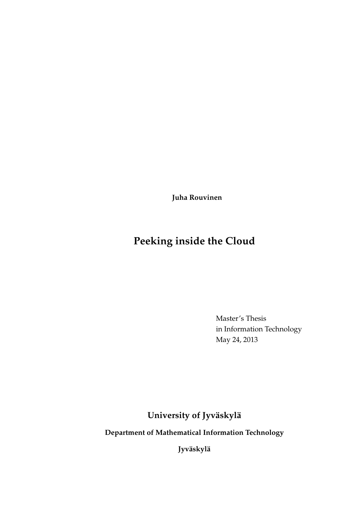**Juha Rouvinen**

# **Peeking inside the Cloud**

Master's Thesis in Information Technology May 24, 2013

**University of Jyväskylä**

**Department of Mathematical Information Technology**

**Jyväskylä**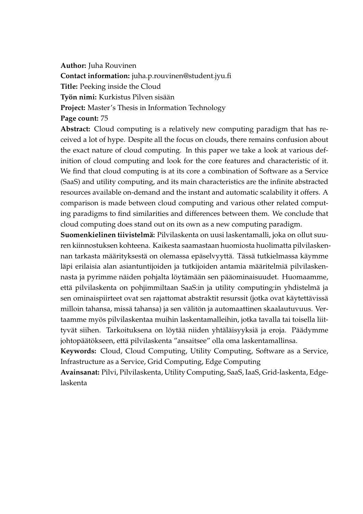**Author:** Juha Rouvinen

**Contact information:** juha.p.rouvinen@student.jyu.fi

**Title:** Peeking inside the Cloud

**Työn nimi:** Kurkistus Pilven sisään

**Project:** Master's Thesis in Information Technology

### **Page count:** 75

**Abstract:** Cloud computing is a relatively new computing paradigm that has received a lot of hype. Despite all the focus on clouds, there remains confusion about the exact nature of cloud computing. In this paper we take a look at various definition of cloud computing and look for the core features and characteristic of it. We find that cloud computing is at its core a combination of Software as a Service (SaaS) and utility computing, and its main characteristics are the infinite abstracted resources available on-demand and the instant and automatic scalability it offers. A comparison is made between cloud computing and various other related computing paradigms to find similarities and differences between them. We conclude that cloud computing does stand out on its own as a new computing paradigm.

**Suomenkielinen tiivistelmä:** Pilvilaskenta on uusi laskentamalli, joka on ollut suuren kiinnostuksen kohteena. Kaikesta saamastaan huomiosta huolimatta pilvilaskennan tarkasta määrityksestä on olemassa epäselvyyttä. Tässä tutkielmassa käymme läpi erilaisia alan asiantuntijoiden ja tutkijoiden antamia määritelmiä pilvilaskennasta ja pyrimme näiden pohjalta löytämään sen pääominaisuudet. Huomaamme, että pilvilaskenta on pohjimmiltaan SaaS:in ja utility computing:in yhdistelmä ja sen ominaispiirteet ovat sen rajattomat abstraktit resurssit (jotka ovat käytettävissä milloin tahansa, missä tahansa) ja sen välitön ja automaattinen skaalautuvuus. Vertaamme myös pilvilaskentaa muihin laskentamalleihin, jotka tavalla tai toisella liittyvät siihen. Tarkoituksena on löytää niiden yhtäläisyyksiä ja eroja. Päädymme johtopäätökseen, että pilvilaskenta "ansaitsee" olla oma laskentamallinsa.

**Keywords:** Cloud, Cloud Computing, Utility Computing, Software as a Service, Infrastructure as a Service, Grid Computing, Edge Computing

**Avainsanat:** Pilvi, Pilvilaskenta, Utility Computing, SaaS, IaaS, Grid-laskenta, Edgelaskenta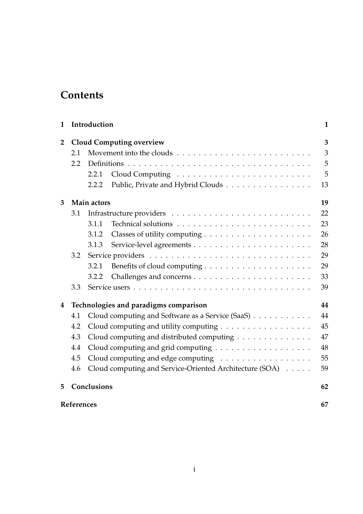# **Contents**

| $\mathbf{1}$   |                                       | Introduction                              |                                                         | $\mathbf{1}$ |
|----------------|---------------------------------------|-------------------------------------------|---------------------------------------------------------|--------------|
| $\overline{2}$ | <b>Cloud Computing overview</b>       |                                           |                                                         | 3            |
|                | 2.1                                   |                                           |                                                         |              |
|                | 2.2                                   |                                           |                                                         |              |
|                |                                       | 2.2.1                                     |                                                         | 5            |
|                |                                       | 2.2.2                                     | Public, Private and Hybrid Clouds                       | 13           |
| 3              | Main actors                           |                                           |                                                         | 19           |
|                | 3.1                                   |                                           |                                                         | 22           |
|                |                                       | 3.1.1                                     |                                                         | 23           |
|                |                                       | 3.1.2                                     |                                                         | 26           |
|                |                                       | 3.1.3                                     |                                                         | 28           |
|                | 3.2                                   |                                           |                                                         | 29           |
|                |                                       | 3.2.1                                     |                                                         | 29           |
|                |                                       | 3.2.2                                     |                                                         | 33           |
|                | 3.3                                   |                                           |                                                         | 39           |
| 4              | Technologies and paradigms comparison |                                           |                                                         | 44           |
|                | 4.1                                   |                                           | Cloud computing and Software as a Service (SaaS)        | 44           |
|                | 4.2                                   |                                           | Cloud computing and utility computing                   | 45           |
|                | 4.3                                   | Cloud computing and distributed computing |                                                         | 47           |
|                | 4.4                                   |                                           |                                                         | 48           |
|                | 4.5                                   |                                           | Cloud computing and edge computing                      | 55           |
|                | 4.6                                   |                                           | Cloud computing and Service-Oriented Architecture (SOA) | 59           |
| 5              | Conclusions                           |                                           |                                                         | 62           |
|                | References                            |                                           |                                                         |              |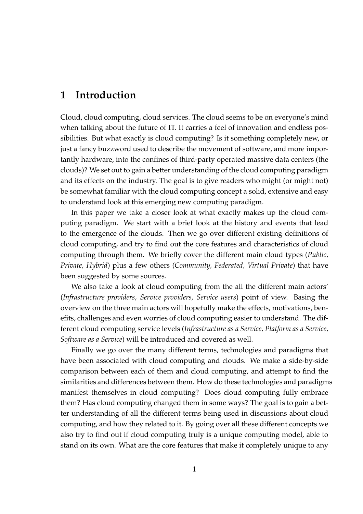# **1 Introduction**

Cloud, cloud computing, cloud services. The cloud seems to be on everyone's mind when talking about the future of IT. It carries a feel of innovation and endless possibilities. But what exactly is cloud computing? Is it something completely new, or just a fancy buzzword used to describe the movement of software, and more importantly hardware, into the confines of third-party operated massive data centers (the clouds)? We set out to gain a better understanding of the cloud computing paradigm and its effects on the industry. The goal is to give readers who might (or might not) be somewhat familiar with the cloud computing concept a solid, extensive and easy to understand look at this emerging new computing paradigm.

In this paper we take a closer look at what exactly makes up the cloud computing paradigm. We start with a brief look at the history and events that lead to the emergence of the clouds. Then we go over different existing definitions of cloud computing, and try to find out the core features and characteristics of cloud computing through them. We briefly cover the different main cloud types (*Public, Private, Hybrid*) plus a few others (*Community, Federated, Virtual Private*) that have been suggested by some sources.

We also take a look at cloud computing from the all the different main actors' (*Infrastructure providers, Service providers, Service users*) point of view. Basing the overview on the three main actors will hopefully make the effects, motivations, benefits, challenges and even worries of cloud computing easier to understand. The different cloud computing service levels (*Infrastructure as a Service, Platform as a Service, Software as a Service*) will be introduced and covered as well.

Finally we go over the many different terms, technologies and paradigms that have been associated with cloud computing and clouds. We make a side-by-side comparison between each of them and cloud computing, and attempt to find the similarities and differences between them. How do these technologies and paradigms manifest themselves in cloud computing? Does cloud computing fully embrace them? Has cloud computing changed them in some ways? The goal is to gain a better understanding of all the different terms being used in discussions about cloud computing, and how they related to it. By going over all these different concepts we also try to find out if cloud computing truly is a unique computing model, able to stand on its own. What are the core features that make it completely unique to any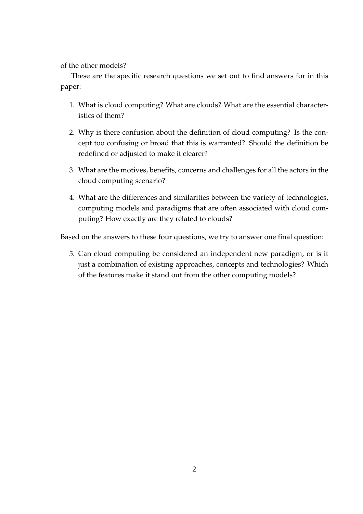of the other models?

These are the specific research questions we set out to find answers for in this paper:

- 1. What is cloud computing? What are clouds? What are the essential characteristics of them?
- 2. Why is there confusion about the definition of cloud computing? Is the concept too confusing or broad that this is warranted? Should the definition be redefined or adjusted to make it clearer?
- 3. What are the motives, benefits, concerns and challenges for all the actors in the cloud computing scenario?
- 4. What are the differences and similarities between the variety of technologies, computing models and paradigms that are often associated with cloud computing? How exactly are they related to clouds?

Based on the answers to these four questions, we try to answer one final question:

5. Can cloud computing be considered an independent new paradigm, or is it just a combination of existing approaches, concepts and technologies? Which of the features make it stand out from the other computing models?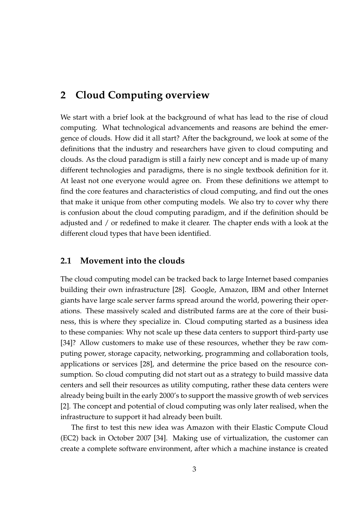# **2 Cloud Computing overview**

We start with a brief look at the background of what has lead to the rise of cloud computing. What technological advancements and reasons are behind the emergence of clouds. How did it all start? After the background, we look at some of the definitions that the industry and researchers have given to cloud computing and clouds. As the cloud paradigm is still a fairly new concept and is made up of many different technologies and paradigms, there is no single textbook definition for it. At least not one everyone would agree on. From these definitions we attempt to find the core features and characteristics of cloud computing, and find out the ones that make it unique from other computing models. We also try to cover why there is confusion about the cloud computing paradigm, and if the definition should be adjusted and / or redefined to make it clearer. The chapter ends with a look at the different cloud types that have been identified.

### **2.1 Movement into the clouds**

The cloud computing model can be tracked back to large Internet based companies building their own infrastructure [28]. Google, Amazon, IBM and other Internet giants have large scale server farms spread around the world, powering their operations. These massively scaled and distributed farms are at the core of their business, this is where they specialize in. Cloud computing started as a business idea to these companies: Why not scale up these data centers to support third-party use [34]? Allow customers to make use of these resources, whether they be raw computing power, storage capacity, networking, programming and collaboration tools, applications or services [28], and determine the price based on the resource consumption. So cloud computing did not start out as a strategy to build massive data centers and sell their resources as utility computing, rather these data centers were already being built in the early 2000's to support the massive growth of web services [2]. The concept and potential of cloud computing was only later realised, when the infrastructure to support it had already been built.

The first to test this new idea was Amazon with their Elastic Compute Cloud (EC2) back in October 2007 [34]. Making use of virtualization, the customer can create a complete software environment, after which a machine instance is created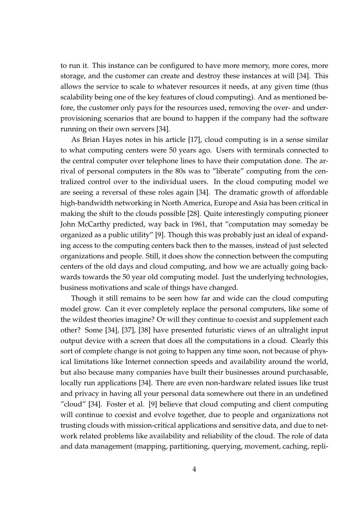to run it. This instance can be configured to have more memory, more cores, more storage, and the customer can create and destroy these instances at will [34]. This allows the service to scale to whatever resources it needs, at any given time (thus scalability being one of the key features of cloud computing). And as mentioned before, the customer only pays for the resources used, removing the over- and underprovisioning scenarios that are bound to happen if the company had the software running on their own servers [34].

As Brian Hayes notes in his article [17], cloud computing is in a sense similar to what computing centers were 50 years ago. Users with terminals connected to the central computer over telephone lines to have their computation done. The arrival of personal computers in the 80s was to "liberate" computing from the centralized control over to the individual users. In the cloud computing model we are seeing a reversal of these roles again [34]. The dramatic growth of affordable high-bandwidth networking in North America, Europe and Asia has been critical in making the shift to the clouds possible [28]. Quite interestingly computing pioneer John McCarthy predicted, way back in 1961, that "computation may someday be organized as a public utility" [9]. Though this was probably just an ideal of expanding access to the computing centers back then to the masses, instead of just selected organizations and people. Still, it does show the connection between the computing centers of the old days and cloud computing, and how we are actually going backwards towards the 50 year old computing model. Just the underlying technologies, business motivations and scale of things have changed.

Though it still remains to be seen how far and wide can the cloud computing model grow. Can it ever completely replace the personal computers, like some of the wildest theories imagine? Or will they continue to coexist and supplement each other? Some [34], [37], [38] have presented futuristic views of an ultralight input output device with a screen that does all the computations in a cloud. Clearly this sort of complete change is not going to happen any time soon, not because of physical limitations like Internet connection speeds and availability around the world, but also because many companies have built their businesses around purchasable, locally run applications [34]. There are even non-hardware related issues like trust and privacy in having all your personal data somewhere out there in an undefined "cloud" [34]. Foster et al. [9] believe that cloud computing and client computing will continue to coexist and evolve together, due to people and organizations not trusting clouds with mission-critical applications and sensitive data, and due to network related problems like availability and reliability of the cloud. The role of data and data management (mapping, partitioning, querying, movement, caching, repli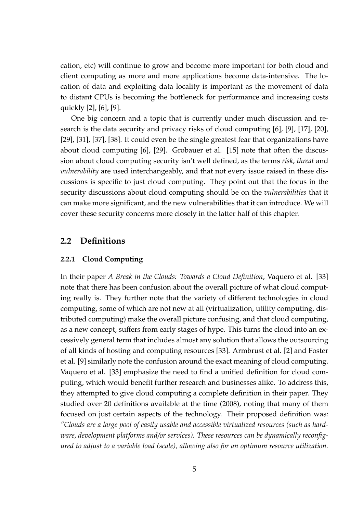cation, etc) will continue to grow and become more important for both cloud and client computing as more and more applications become data-intensive. The location of data and exploiting data locality is important as the movement of data to distant CPUs is becoming the bottleneck for performance and increasing costs quickly [2], [6], [9].

One big concern and a topic that is currently under much discussion and research is the data security and privacy risks of cloud computing [6], [9], [17], [20], [29], [31], [37], [38]. It could even be the single greatest fear that organizations have about cloud computing [6], [29]. Grobauer et al. [15] note that often the discussion about cloud computing security isn't well defined, as the terms *risk*, *threat* and *vulnerability* are used interchangeably, and that not every issue raised in these discussions is specific to just cloud computing. They point out that the focus in the security discussions about cloud computing should be on the *vulnerabilities* that it can make more significant, and the new vulnerabilities that it can introduce. We will cover these security concerns more closely in the latter half of this chapter.

### **2.2 Definitions**

### **2.2.1 Cloud Computing**

In their paper *A Break in the Clouds: Towards a Cloud Definition*, Vaquero et al. [33] note that there has been confusion about the overall picture of what cloud computing really is. They further note that the variety of different technologies in cloud computing, some of which are not new at all (virtualization, utility computing, distributed computing) make the overall picture confusing, and that cloud computing, as a new concept, suffers from early stages of hype. This turns the cloud into an excessively general term that includes almost any solution that allows the outsourcing of all kinds of hosting and computing resources [33]. Armbrust et al. [2] and Foster et al. [9] similarly note the confusion around the exact meaning of cloud computing. Vaquero et al. [33] emphasize the need to find a unified definition for cloud computing, which would benefit further research and businesses alike. To address this, they attempted to give cloud computing a complete definition in their paper. They studied over 20 definitions available at the time (2008), noting that many of them focused on just certain aspects of the technology. Their proposed definition was: *"Clouds are a large pool of easily usable and accessible virtualized resources (such as hardware, development platforms and/or services). These resources can be dynamically reconfigured to adjust to a variable load (scale), allowing also for an optimum resource utilization.*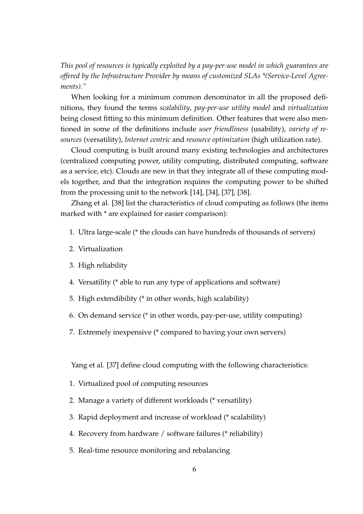*This pool of resources is typically exploited by a pay-per-use model in which guarantees are offered by the Infrastructure Provider by means of customized SLAs \*(Service-Level Agreements)."*

When looking for a minimum common denominator in all the proposed definitions, they found the terms *scalability*, *pay-per-use utility model* and *virtualization* being closest fitting to this minimum definition. Other features that were also mentioned in some of the definitions include *user friendliness* (usability), *variety of resources* (versatility), *Internet centric* and *resource optimization* (high utilization rate).

Cloud computing is built around many existing technologies and architectures (centralized computing power, utility computing, distributed computing, software as a service, etc). Clouds are new in that they integrate all of these computing models together, and that the integration requires the computing power to be shifted from the processing unit to the network [14], [34], [37], [38].

Zhang et al. [38] list the characteristics of cloud computing as follows (the items marked with \* are explained for easier comparison):

- 1. Ultra large-scale (\* the clouds can have hundreds of thousands of servers)
- 2. Virtualization
- 3. High reliability
- 4. Versatility (\* able to run any type of applications and software)
- 5. High extendibility (\* in other words, high scalability)
- 6. On demand service (\* in other words, pay-per-use, utility computing)
- 7. Extremely inexpensive (\* compared to having your own servers)

Yang et al. [37] define cloud computing with the following characteristics:

- 1. Virtualized pool of computing resources
- 2. Manage a variety of different workloads (\* versatility)
- 3. Rapid deployment and increase of workload (\* scalability)
- 4. Recovery from hardware / software failures (\* reliability)
- 5. Real-time resource monitoring and rebalancing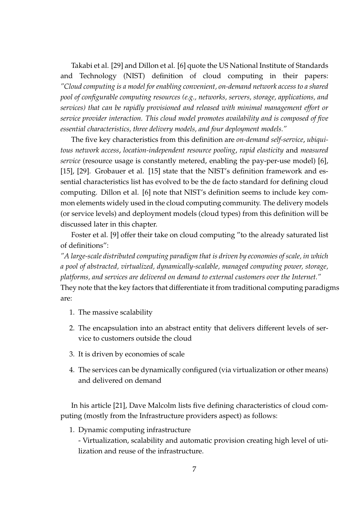Takabi et al. [29] and Dillon et al. [6] quote the US National Institute of Standards and Technology (NIST) definition of cloud computing in their papers: *"Cloud computing is a model for enabling convenient, on-demand network access to a shared pool of configurable computing resources (e.g., networks, servers, storage, applications, and services) that can be rapidly provisioned and released with minimal management effort or service provider interaction. This cloud model promotes availability and is composed of five essential characteristics, three delivery models, and four deployment models."*

The five key characteristics from this definition are *on-demand self-service*, *ubiquitous network access*, *location-independent resource pooling*, *rapid elasticity* and *measured service* (resource usage is constantly metered, enabling the pay-per-use model) [6], [15], [29]. Grobauer et al. [15] state that the NIST's definition framework and essential characteristics list has evolved to be the de facto standard for defining cloud computing. Dillon et al. [6] note that NIST's definition seems to include key common elements widely used in the cloud computing community. The delivery models (or service levels) and deployment models (cloud types) from this definition will be discussed later in this chapter.

Foster et al. [9] offer their take on cloud computing "to the already saturated list of definitions":

*"A large-scale distributed computing paradigm that is driven by economies of scale, in which a pool of abstracted, virtualized, dynamically-scalable, managed computing power, storage, platforms, and services are delivered on demand to external customers over the Internet."* They note that the key factors that differentiate it from traditional computing paradigms are:

- 1. The massive scalability
- 2. The encapsulation into an abstract entity that delivers different levels of service to customers outside the cloud
- 3. It is driven by economies of scale
- 4. The services can be dynamically configured (via virtualization or other means) and delivered on demand

In his article [21], Dave Malcolm lists five defining characteristics of cloud computing (mostly from the Infrastructure providers aspect) as follows:

1. Dynamic computing infrastructure

- Virtualization, scalability and automatic provision creating high level of utilization and reuse of the infrastructure.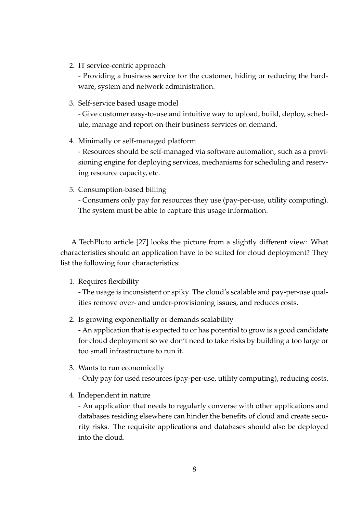2. IT service-centric approach

- Providing a business service for the customer, hiding or reducing the hardware, system and network administration.

3. Self-service based usage model

- Give customer easy-to-use and intuitive way to upload, build, deploy, schedule, manage and report on their business services on demand.

4. Minimally or self-managed platform

- Resources should be self-managed via software automation, such as a provisioning engine for deploying services, mechanisms for scheduling and reserving resource capacity, etc.

5. Consumption-based billing

- Consumers only pay for resources they use (pay-per-use, utility computing). The system must be able to capture this usage information.

A TechPluto article [27] looks the picture from a slightly different view: What characteristics should an application have to be suited for cloud deployment? They list the following four characteristics:

1. Requires flexibility

- The usage is inconsistent or spiky. The cloud's scalable and pay-per-use qualities remove over- and under-provisioning issues, and reduces costs.

2. Is growing exponentially or demands scalability

- An application that is expected to or has potential to grow is a good candidate for cloud deployment so we don't need to take risks by building a too large or too small infrastructure to run it.

3. Wants to run economically

- Only pay for used resources (pay-per-use, utility computing), reducing costs.

4. Independent in nature

- An application that needs to regularly converse with other applications and databases residing elsewhere can hinder the benefits of cloud and create security risks. The requisite applications and databases should also be deployed into the cloud.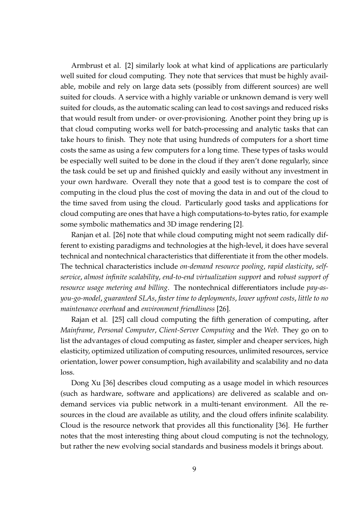Armbrust et al. [2] similarly look at what kind of applications are particularly well suited for cloud computing. They note that services that must be highly available, mobile and rely on large data sets (possibly from different sources) are well suited for clouds. A service with a highly variable or unknown demand is very well suited for clouds, as the automatic scaling can lead to cost savings and reduced risks that would result from under- or over-provisioning. Another point they bring up is that cloud computing works well for batch-processing and analytic tasks that can take hours to finish. They note that using hundreds of computers for a short time costs the same as using a few computers for a long time. These types of tasks would be especially well suited to be done in the cloud if they aren't done regularly, since the task could be set up and finished quickly and easily without any investment in your own hardware. Overall they note that a good test is to compare the cost of computing in the cloud plus the cost of moving the data in and out of the cloud to the time saved from using the cloud. Particularly good tasks and applications for cloud computing are ones that have a high computations-to-bytes ratio, for example some symbolic mathematics and 3D image rendering [2].

Ranjan et al. [26] note that while cloud computing might not seem radically different to existing paradigms and technologies at the high-level, it does have several technical and nontechnical characteristics that differentiate it from the other models. The technical characteristics include *on-demand resource pooling*, *rapid elasticity*, *selfservice*, *almost infinite scalability*, *end-to-end virtualization support* and *robust support of resource usage metering and billing*. The nontechnical differentiators include *pay-asyou-go-model*, *guaranteed SLAs*, *faster time to deployments*, *lower upfront costs*, *little to no maintenance overhead* and *environment friendliness* [26].

Rajan et al. [25] call cloud computing the fifth generation of computing, after *Mainframe*, *Personal Computer*, *Client-Server Computing* and the *Web*. They go on to list the advantages of cloud computing as faster, simpler and cheaper services, high elasticity, optimized utilization of computing resources, unlimited resources, service orientation, lower power consumption, high availability and scalability and no data loss.

Dong Xu [36] describes cloud computing as a usage model in which resources (such as hardware, software and applications) are delivered as scalable and ondemand services via public network in a multi-tenant environment. All the resources in the cloud are available as utility, and the cloud offers infinite scalability. Cloud is the resource network that provides all this functionality [36]. He further notes that the most interesting thing about cloud computing is not the technology, but rather the new evolving social standards and business models it brings about.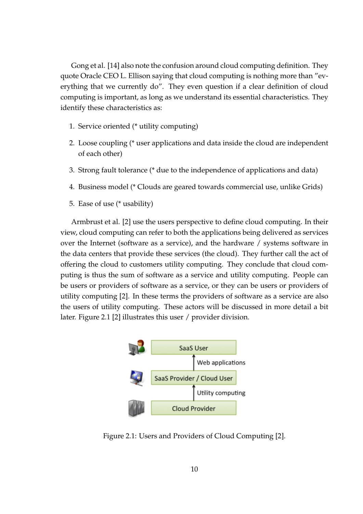Gong et al. [14] also note the confusion around cloud computing definition. They quote Oracle CEO L. Ellison saying that cloud computing is nothing more than "everything that we currently do". They even question if a clear definition of cloud computing is important, as long as we understand its essential characteristics. They identify these characteristics as:

- 1. Service oriented (\* utility computing)
- 2. Loose coupling (\* user applications and data inside the cloud are independent of each other)
- 3. Strong fault tolerance (\* due to the independence of applications and data)
- 4. Business model (\* Clouds are geared towards commercial use, unlike Grids)
- 5. Ease of use (\* usability)

Armbrust et al. [2] use the users perspective to define cloud computing. In their view, cloud computing can refer to both the applications being delivered as services over the Internet (software as a service), and the hardware / systems software in the data centers that provide these services (the cloud). They further call the act of offering the cloud to customers utility computing. They conclude that cloud computing is thus the sum of software as a service and utility computing. People can be users or providers of software as a service, or they can be users or providers of utility computing [2]. In these terms the providers of software as a service are also the users of utility computing. These actors will be discussed in more detail a bit later. Figure 2.1 [2] illustrates this user / provider division.



Figure 2.1: Users and Providers of Cloud Computing [2].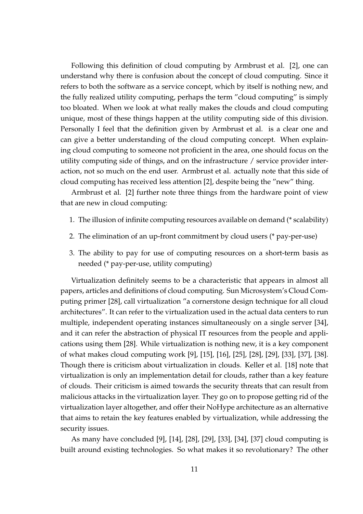Following this definition of cloud computing by Armbrust et al. [2], one can understand why there is confusion about the concept of cloud computing. Since it refers to both the software as a service concept, which by itself is nothing new, and the fully realized utility computing, perhaps the term "cloud computing" is simply too bloated. When we look at what really makes the clouds and cloud computing unique, most of these things happen at the utility computing side of this division. Personally I feel that the definition given by Armbrust et al. is a clear one and can give a better understanding of the cloud computing concept. When explaining cloud computing to someone not proficient in the area, one should focus on the utility computing side of things, and on the infrastructure / service provider interaction, not so much on the end user. Armbrust et al. actually note that this side of cloud computing has received less attention [2], despite being the "new" thing.

Armbrust et al. [2] further note three things from the hardware point of view that are new in cloud computing:

- 1. The illusion of infinite computing resources available on demand (\* scalability)
- 2. The elimination of an up-front commitment by cloud users (\* pay-per-use)
- 3. The ability to pay for use of computing resources on a short-term basis as needed (\* pay-per-use, utility computing)

Virtualization definitely seems to be a characteristic that appears in almost all papers, articles and definitions of cloud computing. Sun Microsystem's Cloud Computing primer [28], call virtualization "a cornerstone design technique for all cloud architectures". It can refer to the virtualization used in the actual data centers to run multiple, independent operating instances simultaneously on a single server [34], and it can refer the abstraction of physical IT resources from the people and applications using them [28]. While virtualization is nothing new, it is a key component of what makes cloud computing work [9], [15], [16], [25], [28], [29], [33], [37], [38]. Though there is criticism about virtualization in clouds. Keller et al. [18] note that virtualization is only an implementation detail for clouds, rather than a key feature of clouds. Their criticism is aimed towards the security threats that can result from malicious attacks in the virtualization layer. They go on to propose getting rid of the virtualization layer altogether, and offer their NoHype architecture as an alternative that aims to retain the key features enabled by virtualization, while addressing the security issues.

As many have concluded [9], [14], [28], [29], [33], [34], [37] cloud computing is built around existing technologies. So what makes it so revolutionary? The other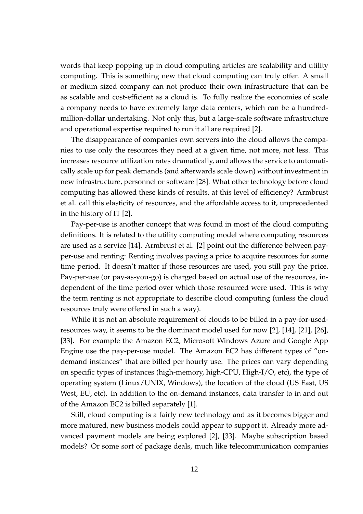words that keep popping up in cloud computing articles are scalability and utility computing. This is something new that cloud computing can truly offer. A small or medium sized company can not produce their own infrastructure that can be as scalable and cost-efficient as a cloud is. To fully realize the economies of scale a company needs to have extremely large data centers, which can be a hundredmillion-dollar undertaking. Not only this, but a large-scale software infrastructure and operational expertise required to run it all are required [2].

The disappearance of companies own servers into the cloud allows the companies to use only the resources they need at a given time, not more, not less. This increases resource utilization rates dramatically, and allows the service to automatically scale up for peak demands (and afterwards scale down) without investment in new infrastructure, personnel or software [28]. What other technology before cloud computing has allowed these kinds of results, at this level of efficiency? Armbrust et al. call this elasticity of resources, and the affordable access to it, unprecedented in the history of IT [2].

Pay-per-use is another concept that was found in most of the cloud computing definitions. It is related to the utility computing model where computing resources are used as a service [14]. Armbrust et al. [2] point out the difference between payper-use and renting: Renting involves paying a price to acquire resources for some time period. It doesn't matter if those resources are used, you still pay the price. Pay-per-use (or pay-as-you-go) is charged based on actual use of the resources, independent of the time period over which those resourced were used. This is why the term renting is not appropriate to describe cloud computing (unless the cloud resources truly were offered in such a way).

While it is not an absolute requirement of clouds to be billed in a pay-for-usedresources way, it seems to be the dominant model used for now [2], [14], [21], [26], [33]. For example the Amazon EC2, Microsoft Windows Azure and Google App Engine use the pay-per-use model. The Amazon EC2 has different types of "ondemand instances" that are billed per hourly use. The prices can vary depending on specific types of instances (high-memory, high-CPU, High-I/O, etc), the type of operating system (Linux/UNIX, Windows), the location of the cloud (US East, US West, EU, etc). In addition to the on-demand instances, data transfer to in and out of the Amazon EC2 is billed separately [1].

Still, cloud computing is a fairly new technology and as it becomes bigger and more matured, new business models could appear to support it. Already more advanced payment models are being explored [2], [33]. Maybe subscription based models? Or some sort of package deals, much like telecommunication companies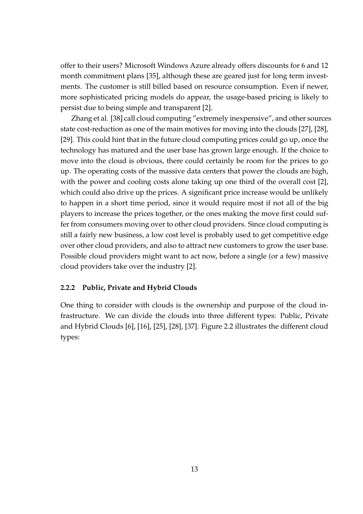offer to their users? Microsoft Windows Azure already offers discounts for 6 and 12 month commitment plans [35], although these are geared just for long term investments. The customer is still billed based on resource consumption. Even if newer, more sophisticated pricing models do appear, the usage-based pricing is likely to persist due to being simple and transparent [2].

Zhang et al. [38] call cloud computing "extremely inexpensive", and other sources state cost-reduction as one of the main motives for moving into the clouds [27], [28], [29]. This could hint that in the future cloud computing prices could go up, once the technology has matured and the user base has grown large enough. If the choice to move into the cloud is obvious, there could certainly be room for the prices to go up. The operating costs of the massive data centers that power the clouds are high, with the power and cooling costs alone taking up one third of the overall cost [2], which could also drive up the prices. A significant price increase would be unlikely to happen in a short time period, since it would require most if not all of the big players to increase the prices together, or the ones making the move first could suffer from consumers moving over to other cloud providers. Since cloud computing is still a fairly new business, a low cost level is probably used to get competitive edge over other cloud providers, and also to attract new customers to grow the user base. Possible cloud providers might want to act now, before a single (or a few) massive cloud providers take over the industry [2].

### **2.2.2 Public, Private and Hybrid Clouds**

One thing to consider with clouds is the ownership and purpose of the cloud infrastructure. We can divide the clouds into three different types: Public, Private and Hybrid Clouds [6], [16], [25], [28], [37]. Figure 2.2 illustrates the different cloud types: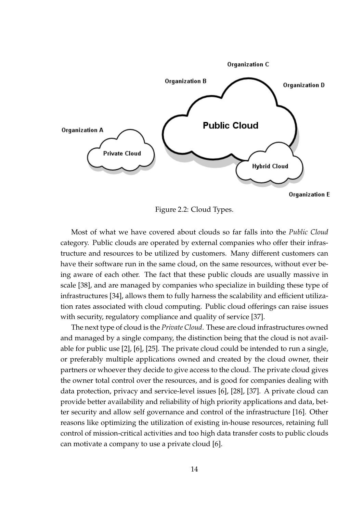

Figure 2.2: Cloud Types.

Most of what we have covered about clouds so far falls into the *Public Cloud* category. Public clouds are operated by external companies who offer their infrastructure and resources to be utilized by customers. Many different customers can have their software run in the same cloud, on the same resources, without ever being aware of each other. The fact that these public clouds are usually massive in scale [38], and are managed by companies who specialize in building these type of infrastructures [34], allows them to fully harness the scalability and efficient utilization rates associated with cloud computing. Public cloud offerings can raise issues with security, regulatory compliance and quality of service [37].

The next type of cloud is the *Private Cloud*. These are cloud infrastructures owned and managed by a single company, the distinction being that the cloud is not available for public use [2], [6], [25]. The private cloud could be intended to run a single, or preferably multiple applications owned and created by the cloud owner, their partners or whoever they decide to give access to the cloud. The private cloud gives the owner total control over the resources, and is good for companies dealing with data protection, privacy and service-level issues [6], [28], [37]. A private cloud can provide better availability and reliability of high priority applications and data, better security and allow self governance and control of the infrastructure [16]. Other reasons like optimizing the utilization of existing in-house resources, retaining full control of mission-critical activities and too high data transfer costs to public clouds can motivate a company to use a private cloud [6].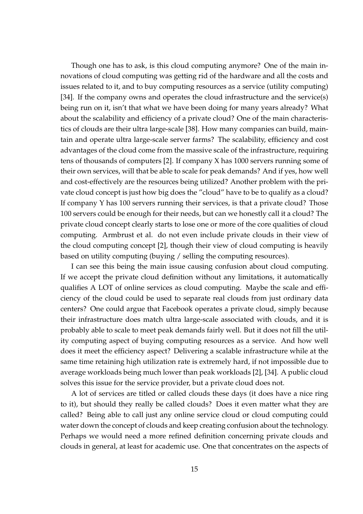Though one has to ask, is this cloud computing anymore? One of the main innovations of cloud computing was getting rid of the hardware and all the costs and issues related to it, and to buy computing resources as a service (utility computing) [34]. If the company owns and operates the cloud infrastructure and the service(s) being run on it, isn't that what we have been doing for many years already? What about the scalability and efficiency of a private cloud? One of the main characteristics of clouds are their ultra large-scale [38]. How many companies can build, maintain and operate ultra large-scale server farms? The scalability, efficiency and cost advantages of the cloud come from the massive scale of the infrastructure, requiring tens of thousands of computers [2]. If company X has 1000 servers running some of their own services, will that be able to scale for peak demands? And if yes, how well and cost-effectively are the resources being utilized? Another problem with the private cloud concept is just how big does the "cloud" have to be to qualify as a cloud? If company Y has 100 servers running their services, is that a private cloud? Those 100 servers could be enough for their needs, but can we honestly call it a cloud? The private cloud concept clearly starts to lose one or more of the core qualities of cloud computing. Armbrust et al. do not even include private clouds in their view of the cloud computing concept [2], though their view of cloud computing is heavily based on utility computing (buying / selling the computing resources).

I can see this being the main issue causing confusion about cloud computing. If we accept the private cloud definition without any limitations, it automatically qualifies A LOT of online services as cloud computing. Maybe the scale and efficiency of the cloud could be used to separate real clouds from just ordinary data centers? One could argue that Facebook operates a private cloud, simply because their infrastructure does match ultra large-scale associated with clouds, and it is probably able to scale to meet peak demands fairly well. But it does not fill the utility computing aspect of buying computing resources as a service. And how well does it meet the efficiency aspect? Delivering a scalable infrastructure while at the same time retaining high utilization rate is extremely hard, if not impossible due to average workloads being much lower than peak workloads [2], [34]. A public cloud solves this issue for the service provider, but a private cloud does not.

A lot of services are titled or called clouds these days (it does have a nice ring to it), but should they really be called clouds? Does it even matter what they are called? Being able to call just any online service cloud or cloud computing could water down the concept of clouds and keep creating confusion about the technology. Perhaps we would need a more refined definition concerning private clouds and clouds in general, at least for academic use. One that concentrates on the aspects of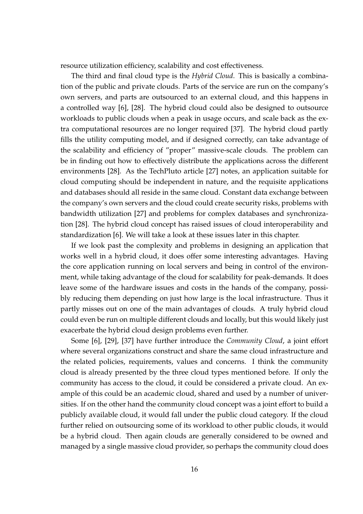resource utilization efficiency, scalability and cost effectiveness.

The third and final cloud type is the *Hybrid Cloud*. This is basically a combination of the public and private clouds. Parts of the service are run on the company's own servers, and parts are outsourced to an external cloud, and this happens in a controlled way [6], [28]. The hybrid cloud could also be designed to outsource workloads to public clouds when a peak in usage occurs, and scale back as the extra computational resources are no longer required [37]. The hybrid cloud partly fills the utility computing model, and if designed correctly, can take advantage of the scalability and efficiency of "proper" massive-scale clouds. The problem can be in finding out how to effectively distribute the applications across the different environments [28]. As the TechPluto article [27] notes, an application suitable for cloud computing should be independent in nature, and the requisite applications and databases should all reside in the same cloud. Constant data exchange between the company's own servers and the cloud could create security risks, problems with bandwidth utilization [27] and problems for complex databases and synchronization [28]. The hybrid cloud concept has raised issues of cloud interoperability and standardization [6]. We will take a look at these issues later in this chapter.

If we look past the complexity and problems in designing an application that works well in a hybrid cloud, it does offer some interesting advantages. Having the core application running on local servers and being in control of the environment, while taking advantage of the cloud for scalability for peak-demands. It does leave some of the hardware issues and costs in the hands of the company, possibly reducing them depending on just how large is the local infrastructure. Thus it partly misses out on one of the main advantages of clouds. A truly hybrid cloud could even be run on multiple different clouds and locally, but this would likely just exacerbate the hybrid cloud design problems even further.

Some [6], [29], [37] have further introduce the *Community Cloud*, a joint effort where several organizations construct and share the same cloud infrastructure and the related policies, requirements, values and concerns. I think the community cloud is already presented by the three cloud types mentioned before. If only the community has access to the cloud, it could be considered a private cloud. An example of this could be an academic cloud, shared and used by a number of universities. If on the other hand the community cloud concept was a joint effort to build a publicly available cloud, it would fall under the public cloud category. If the cloud further relied on outsourcing some of its workload to other public clouds, it would be a hybrid cloud. Then again clouds are generally considered to be owned and managed by a single massive cloud provider, so perhaps the community cloud does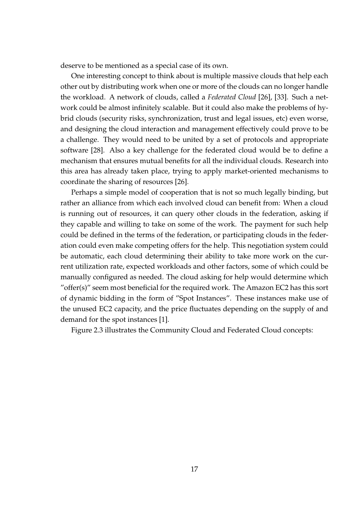deserve to be mentioned as a special case of its own.

One interesting concept to think about is multiple massive clouds that help each other out by distributing work when one or more of the clouds can no longer handle the workload. A network of clouds, called a *Federated Cloud* [26], [33]. Such a network could be almost infinitely scalable. But it could also make the problems of hybrid clouds (security risks, synchronization, trust and legal issues, etc) even worse, and designing the cloud interaction and management effectively could prove to be a challenge. They would need to be united by a set of protocols and appropriate software [28]. Also a key challenge for the federated cloud would be to define a mechanism that ensures mutual benefits for all the individual clouds. Research into this area has already taken place, trying to apply market-oriented mechanisms to coordinate the sharing of resources [26].

Perhaps a simple model of cooperation that is not so much legally binding, but rather an alliance from which each involved cloud can benefit from: When a cloud is running out of resources, it can query other clouds in the federation, asking if they capable and willing to take on some of the work. The payment for such help could be defined in the terms of the federation, or participating clouds in the federation could even make competing offers for the help. This negotiation system could be automatic, each cloud determining their ability to take more work on the current utilization rate, expected workloads and other factors, some of which could be manually configured as needed. The cloud asking for help would determine which "offer(s)" seem most beneficial for the required work. The Amazon EC2 has this sort of dynamic bidding in the form of "Spot Instances". These instances make use of the unused EC2 capacity, and the price fluctuates depending on the supply of and demand for the spot instances [1].

Figure 2.3 illustrates the Community Cloud and Federated Cloud concepts: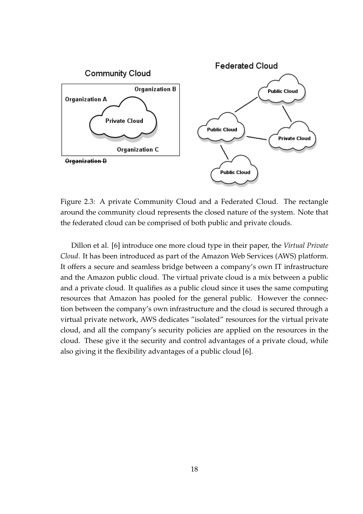

Figure 2.3: A private Community Cloud and a Federated Cloud. The rectangle around the community cloud represents the closed nature of the system. Note that the federated cloud can be comprised of both public and private clouds.

Dillon et al. [6] introduce one more cloud type in their paper, the *Virtual Private Cloud*. It has been introduced as part of the Amazon Web Services (AWS) platform. It offers a secure and seamless bridge between a company's own IT infrastructure and the Amazon public cloud. The virtual private cloud is a mix between a public and a private cloud. It qualifies as a public cloud since it uses the same computing resources that Amazon has pooled for the general public. However the connection between the company's own infrastructure and the cloud is secured through a virtual private network, AWS dedicates "isolated" resources for the virtual private cloud, and all the company's security policies are applied on the resources in the cloud. These give it the security and control advantages of a private cloud, while also giving it the flexibility advantages of a public cloud [6].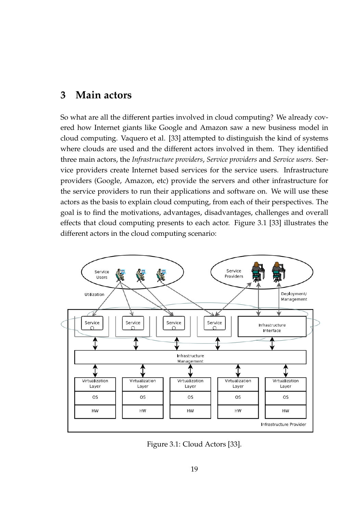## **3 Main actors**

So what are all the different parties involved in cloud computing? We already covered how Internet giants like Google and Amazon saw a new business model in cloud computing. Vaquero et al. [33] attempted to distinguish the kind of systems where clouds are used and the different actors involved in them. They identified three main actors, the *Infrastructure providers*, *Service providers* and *Service users*. Service providers create Internet based services for the service users. Infrastructure providers (Google, Amazon, etc) provide the servers and other infrastructure for the service providers to run their applications and software on. We will use these actors as the basis to explain cloud computing, from each of their perspectives. The goal is to find the motivations, advantages, disadvantages, challenges and overall effects that cloud computing presents to each actor. Figure 3.1 [33] illustrates the different actors in the cloud computing scenario:



Figure 3.1: Cloud Actors [33].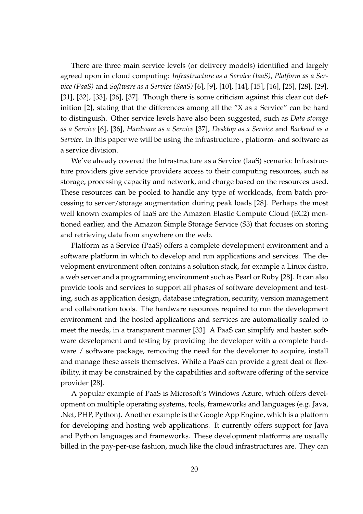There are three main service levels (or delivery models) identified and largely agreed upon in cloud computing: *Infrastructure as a Service (IaaS)*, *Platform as a Service (PaaS)* and *Software as a Service (SaaS)* [6], [9], [10], [14], [15], [16], [25], [28], [29], [31], [32], [33], [36], [37]. Though there is some criticism against this clear cut definition [2], stating that the differences among all the "X as a Service" can be hard to distinguish. Other service levels have also been suggested, such as *Data storage as a Service* [6], [36], *Hardware as a Service* [37], *Desktop as a Service* and *Backend as a Service*. In this paper we will be using the infrastructure-, platform- and software as a service division.

We've already covered the Infrastructure as a Service (IaaS) scenario: Infrastructure providers give service providers access to their computing resources, such as storage, processing capacity and network, and charge based on the resources used. These resources can be pooled to handle any type of workloads, from batch processing to server/storage augmentation during peak loads [28]. Perhaps the most well known examples of IaaS are the Amazon Elastic Compute Cloud (EC2) mentioned earlier, and the Amazon Simple Storage Service (S3) that focuses on storing and retrieving data from anywhere on the web.

Platform as a Service (PaaS) offers a complete development environment and a software platform in which to develop and run applications and services. The development environment often contains a solution stack, for example a Linux distro, a web server and a programming environment such as Pearl or Ruby [28]. It can also provide tools and services to support all phases of software development and testing, such as application design, database integration, security, version management and collaboration tools. The hardware resources required to run the development environment and the hosted applications and services are automatically scaled to meet the needs, in a transparent manner [33]. A PaaS can simplify and hasten software development and testing by providing the developer with a complete hardware / software package, removing the need for the developer to acquire, install and manage these assets themselves. While a PaaS can provide a great deal of flexibility, it may be constrained by the capabilities and software offering of the service provider [28].

A popular example of PaaS is Microsoft's Windows Azure, which offers development on multiple operating systems, tools, frameworks and languages (e.g. Java, .Net, PHP, Python). Another example is the Google App Engine, which is a platform for developing and hosting web applications. It currently offers support for Java and Python languages and frameworks. These development platforms are usually billed in the pay-per-use fashion, much like the cloud infrastructures are. They can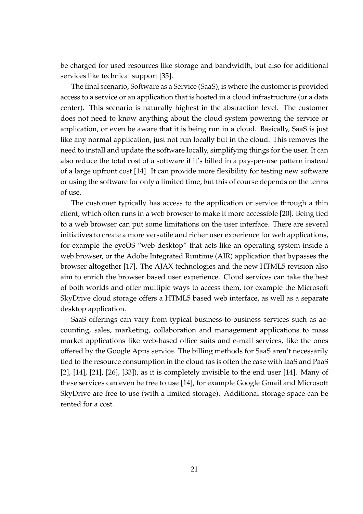be charged for used resources like storage and bandwidth, but also for additional services like technical support [35].

The final scenario, Software as a Service (SaaS), is where the customer is provided access to a service or an application that is hosted in a cloud infrastructure (or a data center). This scenario is naturally highest in the abstraction level. The customer does not need to know anything about the cloud system powering the service or application, or even be aware that it is being run in a cloud. Basically, SaaS is just like any normal application, just not run locally but in the cloud. This removes the need to install and update the software locally, simplifying things for the user. It can also reduce the total cost of a software if it's billed in a pay-per-use pattern instead of a large upfront cost [14]. It can provide more flexibility for testing new software or using the software for only a limited time, but this of course depends on the terms of use.

The customer typically has access to the application or service through a thin client, which often runs in a web browser to make it more accessible [20]. Being tied to a web browser can put some limitations on the user interface. There are several initiatives to create a more versatile and richer user experience for web applications, for example the eyeOS "web desktop" that acts like an operating system inside a web browser, or the Adobe Integrated Runtime (AIR) application that bypasses the browser altogether [17]. The AJAX technologies and the new HTML5 revision also aim to enrich the browser based user experience. Cloud services can take the best of both worlds and offer multiple ways to access them, for example the Microsoft SkyDrive cloud storage offers a HTML5 based web interface, as well as a separate desktop application.

SaaS offerings can vary from typical business-to-business services such as accounting, sales, marketing, collaboration and management applications to mass market applications like web-based office suits and e-mail services, like the ones offered by the Google Apps service. The billing methods for SaaS aren't necessarily tied to the resource consumption in the cloud (as is often the case with IaaS and PaaS [2], [14], [21], [26], [33]), as it is completely invisible to the end user [14]. Many of these services can even be free to use [14], for example Google Gmail and Microsoft SkyDrive are free to use (with a limited storage). Additional storage space can be rented for a cost.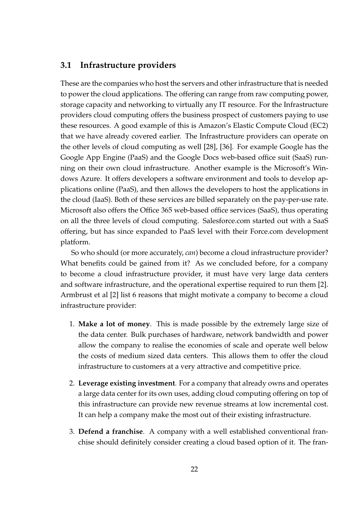### **3.1 Infrastructure providers**

These are the companies who host the servers and other infrastructure that is needed to power the cloud applications. The offering can range from raw computing power, storage capacity and networking to virtually any IT resource. For the Infrastructure providers cloud computing offers the business prospect of customers paying to use these resources. A good example of this is Amazon's Elastic Compute Cloud (EC2) that we have already covered earlier. The Infrastructure providers can operate on the other levels of cloud computing as well [28], [36]. For example Google has the Google App Engine (PaaS) and the Google Docs web-based office suit (SaaS) running on their own cloud infrastructure. Another example is the Microsoft's Windows Azure. It offers developers a software environment and tools to develop applications online (PaaS), and then allows the developers to host the applications in the cloud (IaaS). Both of these services are billed separately on the pay-per-use rate. Microsoft also offers the Office 365 web-based office services (SaaS), thus operating on all the three levels of cloud computing. Salesforce.com started out with a SaaS offering, but has since expanded to PaaS level with their Force.com development platform.

So who should (or more accurately, *can*) become a cloud infrastructure provider? What benefits could be gained from it? As we concluded before, for a company to become a cloud infrastructure provider, it must have very large data centers and software infrastructure, and the operational expertise required to run them [2]. Armbrust et al [2] list 6 reasons that might motivate a company to become a cloud infrastructure provider:

- 1. **Make a lot of money**. This is made possible by the extremely large size of the data center. Bulk purchases of hardware, network bandwidth and power allow the company to realise the economies of scale and operate well below the costs of medium sized data centers. This allows them to offer the cloud infrastructure to customers at a very attractive and competitive price.
- 2. **Leverage existing investment**. For a company that already owns and operates a large data center for its own uses, adding cloud computing offering on top of this infrastructure can provide new revenue streams at low incremental cost. It can help a company make the most out of their existing infrastructure.
- 3. **Defend a franchise**. A company with a well established conventional franchise should definitely consider creating a cloud based option of it. The fran-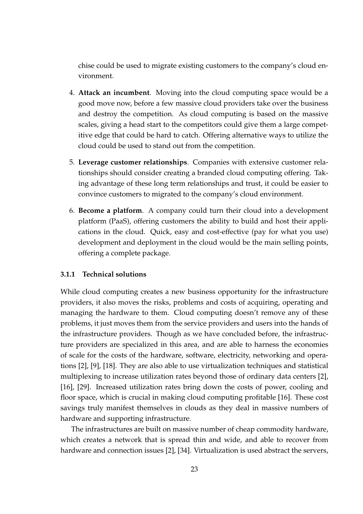chise could be used to migrate existing customers to the company's cloud environment.

- 4. **Attack an incumbent**. Moving into the cloud computing space would be a good move now, before a few massive cloud providers take over the business and destroy the competition. As cloud computing is based on the massive scales, giving a head start to the competitors could give them a large competitive edge that could be hard to catch. Offering alternative ways to utilize the cloud could be used to stand out from the competition.
- 5. **Leverage customer relationships**. Companies with extensive customer relationships should consider creating a branded cloud computing offering. Taking advantage of these long term relationships and trust, it could be easier to convince customers to migrated to the company's cloud environment.
- 6. **Become a platform**. A company could turn their cloud into a development platform (PaaS), offering customers the ability to build and host their applications in the cloud. Quick, easy and cost-effective (pay for what you use) development and deployment in the cloud would be the main selling points, offering a complete package.

### **3.1.1 Technical solutions**

While cloud computing creates a new business opportunity for the infrastructure providers, it also moves the risks, problems and costs of acquiring, operating and managing the hardware to them. Cloud computing doesn't remove any of these problems, it just moves them from the service providers and users into the hands of the infrastructure providers. Though as we have concluded before, the infrastructure providers are specialized in this area, and are able to harness the economies of scale for the costs of the hardware, software, electricity, networking and operations [2], [9], [18]. They are also able to use virtualization techniques and statistical multiplexing to increase utilization rates beyond those of ordinary data centers [2], [16], [29]. Increased utilization rates bring down the costs of power, cooling and floor space, which is crucial in making cloud computing profitable [16]. These cost savings truly manifest themselves in clouds as they deal in massive numbers of hardware and supporting infrastructure.

The infrastructures are built on massive number of cheap commodity hardware, which creates a network that is spread thin and wide, and able to recover from hardware and connection issues [2], [34]. Virtualization is used abstract the servers,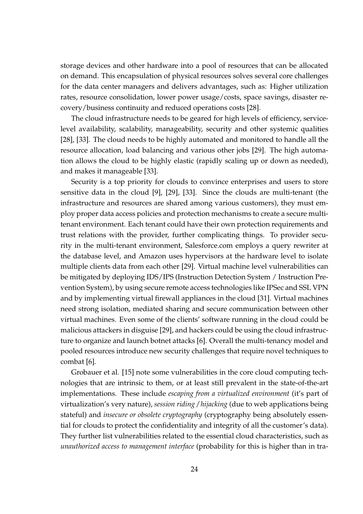storage devices and other hardware into a pool of resources that can be allocated on demand. This encapsulation of physical resources solves several core challenges for the data center managers and delivers advantages, such as: Higher utilization rates, resource consolidation, lower power usage/costs, space savings, disaster recovery/business continuity and reduced operations costs [28].

The cloud infrastructure needs to be geared for high levels of efficiency, servicelevel availability, scalability, manageability, security and other systemic qualities [28], [33]. The cloud needs to be highly automated and monitored to handle all the resource allocation, load balancing and various other jobs [29]. The high automation allows the cloud to be highly elastic (rapidly scaling up or down as needed), and makes it manageable [33].

Security is a top priority for clouds to convince enterprises and users to store sensitive data in the cloud [9], [29], [33]. Since the clouds are multi-tenant (the infrastructure and resources are shared among various customers), they must employ proper data access policies and protection mechanisms to create a secure multitenant environment. Each tenant could have their own protection requirements and trust relations with the provider, further complicating things. To provider security in the multi-tenant environment, Salesforce.com employs a query rewriter at the database level, and Amazon uses hypervisors at the hardware level to isolate multiple clients data from each other [29]. Virtual machine level vulnerabilities can be mitigated by deploying IDS/IPS (Instruction Detection System / Instruction Prevention System), by using secure remote access technologies like IPSec and SSL VPN and by implementing virtual firewall appliances in the cloud [31]. Virtual machines need strong isolation, mediated sharing and secure communication between other virtual machines. Even some of the clients' software running in the cloud could be malicious attackers in disguise [29], and hackers could be using the cloud infrastructure to organize and launch botnet attacks [6]. Overall the multi-tenancy model and pooled resources introduce new security challenges that require novel techniques to combat [6].

Grobauer et al. [15] note some vulnerabilities in the core cloud computing technologies that are intrinsic to them, or at least still prevalent in the state-of-the-art implementations. These include *escaping from a virtualized environment* (it's part of virtualization's very nature), *session riding / hijacking* (due to web applications being stateful) and *insecure or obsolete cryptography* (cryptography being absolutely essential for clouds to protect the confidentiality and integrity of all the customer's data). They further list vulnerabilities related to the essential cloud characteristics, such as *unauthorized access to management interface* (probability for this is higher than in tra-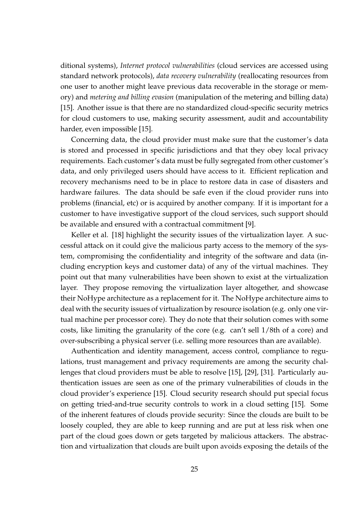ditional systems), *Internet protocol vulnerabilities* (cloud services are accessed using standard network protocols), *data recovery vulnerability* (reallocating resources from one user to another might leave previous data recoverable in the storage or memory) and *metering and billing evasion* (manipulation of the metering and billing data) [15]. Another issue is that there are no standardized cloud-specific security metrics for cloud customers to use, making security assessment, audit and accountability harder, even impossible [15].

Concerning data, the cloud provider must make sure that the customer's data is stored and processed in specific jurisdictions and that they obey local privacy requirements. Each customer's data must be fully segregated from other customer's data, and only privileged users should have access to it. Efficient replication and recovery mechanisms need to be in place to restore data in case of disasters and hardware failures. The data should be safe even if the cloud provider runs into problems (financial, etc) or is acquired by another company. If it is important for a customer to have investigative support of the cloud services, such support should be available and ensured with a contractual commitment [9].

Keller et al. [18] highlight the security issues of the virtualization layer. A successful attack on it could give the malicious party access to the memory of the system, compromising the confidentiality and integrity of the software and data (including encryption keys and customer data) of any of the virtual machines. They point out that many vulnerabilities have been shown to exist at the virtualization layer. They propose removing the virtualization layer altogether, and showcase their NoHype architecture as a replacement for it. The NoHype architecture aims to deal with the security issues of virtualization by resource isolation (e.g. only one virtual machine per processor core). They do note that their solution comes with some costs, like limiting the granularity of the core (e.g. can't sell 1/8th of a core) and over-subscribing a physical server (i.e. selling more resources than are available).

Authentication and identity management, access control, compliance to regulations, trust management and privacy requirements are among the security challenges that cloud providers must be able to resolve [15], [29], [31]. Particularly authentication issues are seen as one of the primary vulnerabilities of clouds in the cloud provider's experience [15]. Cloud security research should put special focus on getting tried-and-true security controls to work in a cloud setting [15]. Some of the inherent features of clouds provide security: Since the clouds are built to be loosely coupled, they are able to keep running and are put at less risk when one part of the cloud goes down or gets targeted by malicious attackers. The abstraction and virtualization that clouds are built upon avoids exposing the details of the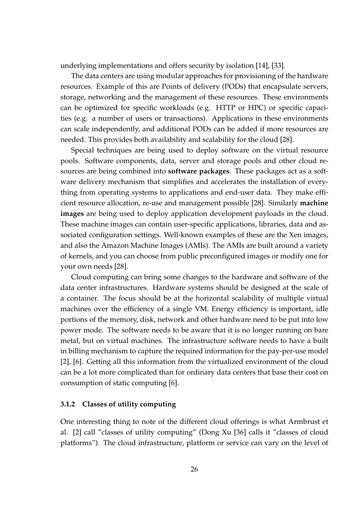underlying implementations and offers security by isolation [14], [33].

The data centers are using modular approaches for provisioning of the hardware resources. Example of this are Points of delivery (PODs) that encapsulate servers, storage, networking and the management of these resources. These environments can be optimized for specific workloads (e.g. HTTP or HPC) or specific capacities (e.g. a number of users or transactions). Applications in these environments can scale independently, and additional PODs can be added if more resources are needed. This provides both availability and scalability for the cloud [28].

Special techniques are being used to deploy software on the virtual resource pools. Software components, data, server and storage pools and other cloud resources are being combined into **software packages**. These packages act as a software delivery mechanism that simplifies and accelerates the installation of everything from operating systems to applications and end-user data. They make efficient resource allocation, re-use and management possible [28]. Similarly **machine images** are being used to deploy application development payloads in the cloud. These machine images can contain user-specific applications, libraries, data and associated configuration settings. Well-known examples of these are the Xen images, and also the Amazon Machine Images (AMIs). The AMIs are built around a variety of kernels, and you can choose from public preconfigured images or modify one for your own needs [28].

Cloud computing can bring some changes to the hardware and software of the data center infrastructures. Hardware systems should be designed at the scale of a container. The focus should be at the horizontal scalability of multiple virtual machines over the efficiency of a single VM. Energy efficiency is important, idle portions of the memory, disk, network and other hardware need to be put into low power mode. The software needs to be aware that it is no longer running on bare metal, but on virtual machines. The infrastructure software needs to have a built in billing mechanism to capture the required information for the pay-per-use model [2], [6]. Getting all this information from the virtualized environment of the cloud can be a lot more complicated than for ordinary data centers that base their cost on consumption of static computing [6].

#### **3.1.2 Classes of utility computing**

One interesting thing to note of the different cloud offerings is what Armbrust et al. [2] call "classes of utility computing" (Dong Xu [36] calls it "classes of cloud platforms"). The cloud infrastructure, platform or service can vary on the level of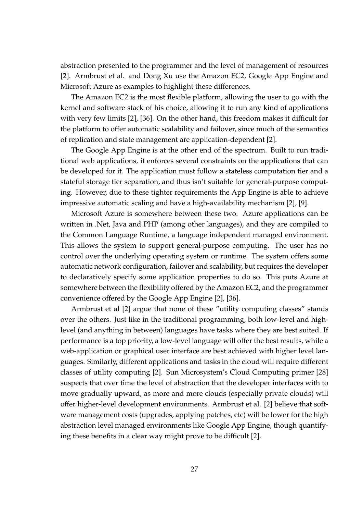abstraction presented to the programmer and the level of management of resources [2]. Armbrust et al. and Dong Xu use the Amazon EC2, Google App Engine and Microsoft Azure as examples to highlight these differences.

The Amazon EC2 is the most flexible platform, allowing the user to go with the kernel and software stack of his choice, allowing it to run any kind of applications with very few limits [2], [36]. On the other hand, this freedom makes it difficult for the platform to offer automatic scalability and failover, since much of the semantics of replication and state management are application-dependent [2].

The Google App Engine is at the other end of the spectrum. Built to run traditional web applications, it enforces several constraints on the applications that can be developed for it. The application must follow a stateless computation tier and a stateful storage tier separation, and thus isn't suitable for general-purpose computing. However, due to these tighter requirements the App Engine is able to achieve impressive automatic scaling and have a high-availability mechanism [2], [9].

Microsoft Azure is somewhere between these two. Azure applications can be written in .Net, Java and PHP (among other languages), and they are compiled to the Common Language Runtime, a language independent managed environment. This allows the system to support general-purpose computing. The user has no control over the underlying operating system or runtime. The system offers some automatic network configuration, failover and scalability, but requires the developer to declaratively specify some application properties to do so. This puts Azure at somewhere between the flexibility offered by the Amazon EC2, and the programmer convenience offered by the Google App Engine [2], [36].

Armbrust et al [2] argue that none of these "utility computing classes" stands over the others. Just like in the traditional programming, both low-level and highlevel (and anything in between) languages have tasks where they are best suited. If performance is a top priority, a low-level language will offer the best results, while a web-application or graphical user interface are best achieved with higher level languages. Similarly, different applications and tasks in the cloud will require different classes of utility computing [2]. Sun Microsystem's Cloud Computing primer [28] suspects that over time the level of abstraction that the developer interfaces with to move gradually upward, as more and more clouds (especially private clouds) will offer higher-level development environments. Armbrust et al. [2] believe that software management costs (upgrades, applying patches, etc) will be lower for the high abstraction level managed environments like Google App Engine, though quantifying these benefits in a clear way might prove to be difficult [2].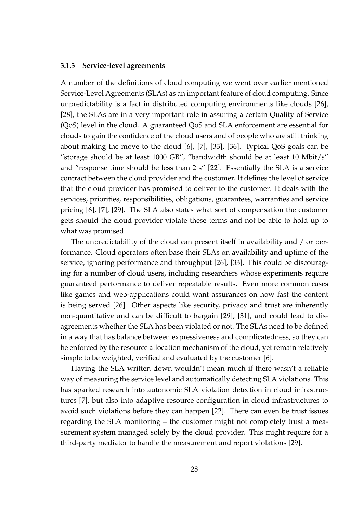#### **3.1.3 Service-level agreements**

A number of the definitions of cloud computing we went over earlier mentioned Service-Level Agreements (SLAs) as an important feature of cloud computing. Since unpredictability is a fact in distributed computing environments like clouds [26], [28], the SLAs are in a very important role in assuring a certain Quality of Service (QoS) level in the cloud. A guaranteed QoS and SLA enforcement are essential for clouds to gain the confidence of the cloud users and of people who are still thinking about making the move to the cloud [6], [7], [33], [36]. Typical QoS goals can be "storage should be at least 1000 GB", "bandwidth should be at least 10 Mbit/s" and "response time should be less than 2 s" [22]. Essentially the SLA is a service contract between the cloud provider and the customer. It defines the level of service that the cloud provider has promised to deliver to the customer. It deals with the services, priorities, responsibilities, obligations, guarantees, warranties and service pricing [6], [7], [29]. The SLA also states what sort of compensation the customer gets should the cloud provider violate these terms and not be able to hold up to what was promised.

The unpredictability of the cloud can present itself in availability and / or performance. Cloud operators often base their SLAs on availability and uptime of the service, ignoring performance and throughput [26], [33]. This could be discouraging for a number of cloud users, including researchers whose experiments require guaranteed performance to deliver repeatable results. Even more common cases like games and web-applications could want assurances on how fast the content is being served [26]. Other aspects like security, privacy and trust are inherently non-quantitative and can be difficult to bargain [29], [31], and could lead to disagreements whether the SLA has been violated or not. The SLAs need to be defined in a way that has balance between expressiveness and complicatedness, so they can be enforced by the resource allocation mechanism of the cloud, yet remain relatively simple to be weighted, verified and evaluated by the customer [6].

Having the SLA written down wouldn't mean much if there wasn't a reliable way of measuring the service level and automatically detecting SLA violations. This has sparked research into autonomic SLA violation detection in cloud infrastructures [7], but also into adaptive resource configuration in cloud infrastructures to avoid such violations before they can happen [22]. There can even be trust issues regarding the SLA monitoring – the customer might not completely trust a measurement system managed solely by the cloud provider. This might require for a third-party mediator to handle the measurement and report violations [29].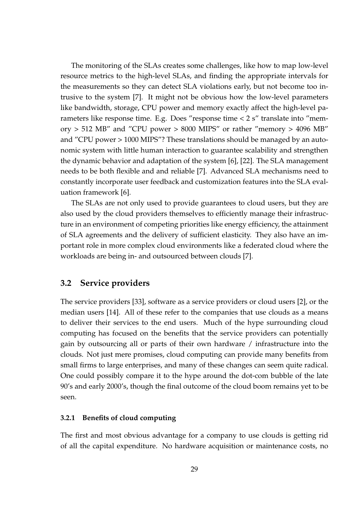The monitoring of the SLAs creates some challenges, like how to map low-level resource metrics to the high-level SLAs, and finding the appropriate intervals for the measurements so they can detect SLA violations early, but not become too intrusive to the system [7]. It might not be obvious how the low-level parameters like bandwidth, storage, CPU power and memory exactly affect the high-level parameters like response time. E.g. Does "response time < 2 s" translate into "memory > 512 MB" and "CPU power > 8000 MIPS" or rather "memory > 4096 MB" and "CPU power > 1000 MIPS"? These translations should be managed by an autonomic system with little human interaction to guarantee scalability and strengthen the dynamic behavior and adaptation of the system [6], [22]. The SLA management needs to be both flexible and and reliable [7]. Advanced SLA mechanisms need to constantly incorporate user feedback and customization features into the SLA evaluation framework [6].

The SLAs are not only used to provide guarantees to cloud users, but they are also used by the cloud providers themselves to efficiently manage their infrastructure in an environment of competing priorities like energy efficiency, the attainment of SLA agreements and the delivery of sufficient elasticity. They also have an important role in more complex cloud environments like a federated cloud where the workloads are being in- and outsourced between clouds [7].

### **3.2 Service providers**

The service providers [33], software as a service providers or cloud users [2], or the median users [14]. All of these refer to the companies that use clouds as a means to deliver their services to the end users. Much of the hype surrounding cloud computing has focused on the benefits that the service providers can potentially gain by outsourcing all or parts of their own hardware / infrastructure into the clouds. Not just mere promises, cloud computing can provide many benefits from small firms to large enterprises, and many of these changes can seem quite radical. One could possibly compare it to the hype around the dot-com bubble of the late 90's and early 2000's, though the final outcome of the cloud boom remains yet to be seen.

### **3.2.1 Benefits of cloud computing**

The first and most obvious advantage for a company to use clouds is getting rid of all the capital expenditure. No hardware acquisition or maintenance costs, no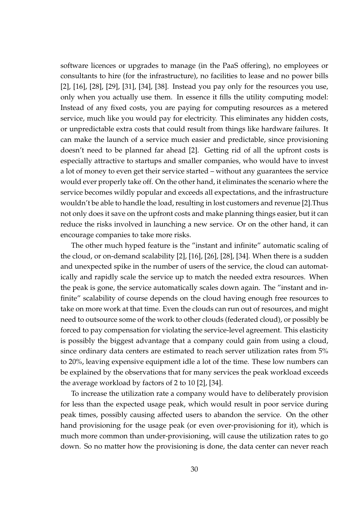software licences or upgrades to manage (in the PaaS offering), no employees or consultants to hire (for the infrastructure), no facilities to lease and no power bills [2], [16], [28], [29], [31], [34], [38]. Instead you pay only for the resources you use, only when you actually use them. In essence it fills the utility computing model: Instead of any fixed costs, you are paying for computing resources as a metered service, much like you would pay for electricity. This eliminates any hidden costs, or unpredictable extra costs that could result from things like hardware failures. It can make the launch of a service much easier and predictable, since provisioning doesn't need to be planned far ahead [2]. Getting rid of all the upfront costs is especially attractive to startups and smaller companies, who would have to invest a lot of money to even get their service started – without any guarantees the service would ever properly take off. On the other hand, it eliminates the scenario where the service becomes wildly popular and exceeds all expectations, and the infrastructure wouldn't be able to handle the load, resulting in lost customers and revenue [2].Thus not only does it save on the upfront costs and make planning things easier, but it can reduce the risks involved in launching a new service. Or on the other hand, it can encourage companies to take more risks.

The other much hyped feature is the "instant and infinite" automatic scaling of the cloud, or on-demand scalability [2], [16], [26], [28], [34]. When there is a sudden and unexpected spike in the number of users of the service, the cloud can automatically and rapidly scale the service up to match the needed extra resources. When the peak is gone, the service automatically scales down again. The "instant and infinite" scalability of course depends on the cloud having enough free resources to take on more work at that time. Even the clouds can run out of resources, and might need to outsource some of the work to other clouds (federated cloud), or possibly be forced to pay compensation for violating the service-level agreement. This elasticity is possibly the biggest advantage that a company could gain from using a cloud, since ordinary data centers are estimated to reach server utilization rates from 5% to 20%, leaving expensive equipment idle a lot of the time. These low numbers can be explained by the observations that for many services the peak workload exceeds the average workload by factors of 2 to 10 [2], [34].

To increase the utilization rate a company would have to deliberately provision for less than the expected usage peak, which would result in poor service during peak times, possibly causing affected users to abandon the service. On the other hand provisioning for the usage peak (or even over-provisioning for it), which is much more common than under-provisioning, will cause the utilization rates to go down. So no matter how the provisioning is done, the data center can never reach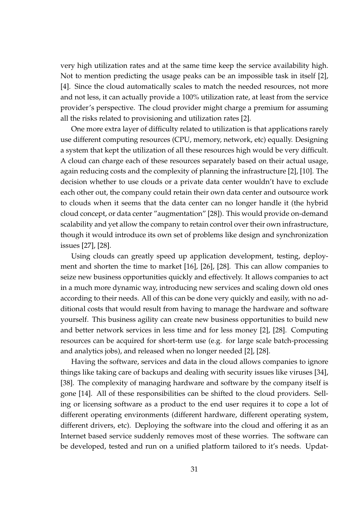very high utilization rates and at the same time keep the service availability high. Not to mention predicting the usage peaks can be an impossible task in itself [2], [4]. Since the cloud automatically scales to match the needed resources, not more and not less, it can actually provide a 100% utilization rate, at least from the service provider's perspective. The cloud provider might charge a premium for assuming all the risks related to provisioning and utilization rates [2].

One more extra layer of difficulty related to utilization is that applications rarely use different computing resources (CPU, memory, network, etc) equally. Designing a system that kept the utilization of all these resources high would be very difficult. A cloud can charge each of these resources separately based on their actual usage, again reducing costs and the complexity of planning the infrastructure [2], [10]. The decision whether to use clouds or a private data center wouldn't have to exclude each other out, the company could retain their own data center and outsource work to clouds when it seems that the data center can no longer handle it (the hybrid cloud concept, or data center "augmentation" [28]). This would provide on-demand scalability and yet allow the company to retain control over their own infrastructure, though it would introduce its own set of problems like design and synchronization issues [27], [28].

Using clouds can greatly speed up application development, testing, deployment and shorten the time to market [16], [26], [28]. This can allow companies to seize new business opportunities quickly and effectively. It allows companies to act in a much more dynamic way, introducing new services and scaling down old ones according to their needs. All of this can be done very quickly and easily, with no additional costs that would result from having to manage the hardware and software yourself. This business agility can create new business opportunities to build new and better network services in less time and for less money [2], [28]. Computing resources can be acquired for short-term use (e.g. for large scale batch-processing and analytics jobs), and released when no longer needed [2], [28].

Having the software, services and data in the cloud allows companies to ignore things like taking care of backups and dealing with security issues like viruses [34], [38]. The complexity of managing hardware and software by the company itself is gone [14]. All of these responsibilities can be shifted to the cloud providers. Selling or licensing software as a product to the end user requires it to cope a lot of different operating environments (different hardware, different operating system, different drivers, etc). Deploying the software into the cloud and offering it as an Internet based service suddenly removes most of these worries. The software can be developed, tested and run on a unified platform tailored to it's needs. Updat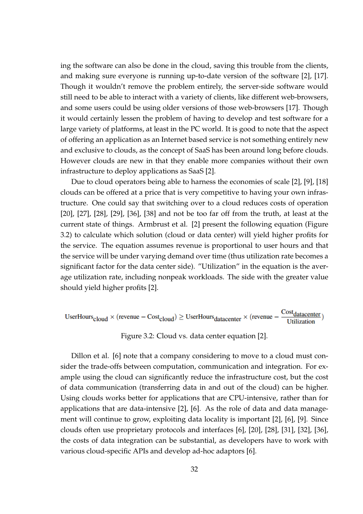ing the software can also be done in the cloud, saving this trouble from the clients, and making sure everyone is running up-to-date version of the software [2], [17]. Though it wouldn't remove the problem entirely, the server-side software would still need to be able to interact with a variety of clients, like different web-browsers, and some users could be using older versions of those web-browsers [17]. Though it would certainly lessen the problem of having to develop and test software for a large variety of platforms, at least in the PC world. It is good to note that the aspect of offering an application as an Internet based service is not something entirely new and exclusive to clouds, as the concept of SaaS has been around long before clouds. However clouds are new in that they enable more companies without their own infrastructure to deploy applications as SaaS [2].

Due to cloud operators being able to harness the economies of scale [2], [9], [18] clouds can be offered at a price that is very competitive to having your own infrastructure. One could say that switching over to a cloud reduces costs of operation [20], [27], [28], [29], [36], [38] and not be too far off from the truth, at least at the current state of things. Armbrust et al. [2] present the following equation (Figure 3.2) to calculate which solution (cloud or data center) will yield higher profits for the service. The equation assumes revenue is proportional to user hours and that the service will be under varying demand over time (thus utilization rate becomes a significant factor for the data center side). "Utilization" in the equation is the average utilization rate, including nonpeak workloads. The side with the greater value should yield higher profits [2].

\n
$$
\text{UserHours}_{\text{cloud}} \times (\text{revenue} - \text{Cost}_{\text{cloud}}) \geq \text{UserHours}_{\text{datacenter}} \times (\text{revenue} - \frac{\text{Cost}_{\text{datacenter}}}{\text{Utilization}})
$$
\n

Figure 3.2: Cloud vs. data center equation [2].

Dillon et al. [6] note that a company considering to move to a cloud must consider the trade-offs between computation, communication and integration. For example using the cloud can significantly reduce the infrastructure cost, but the cost of data communication (transferring data in and out of the cloud) can be higher. Using clouds works better for applications that are CPU-intensive, rather than for applications that are data-intensive [2], [6]. As the role of data and data management will continue to grow, exploiting data locality is important [2], [6], [9]. Since clouds often use proprietary protocols and interfaces [6], [20], [28], [31], [32], [36], the costs of data integration can be substantial, as developers have to work with various cloud-specific APIs and develop ad-hoc adaptors [6].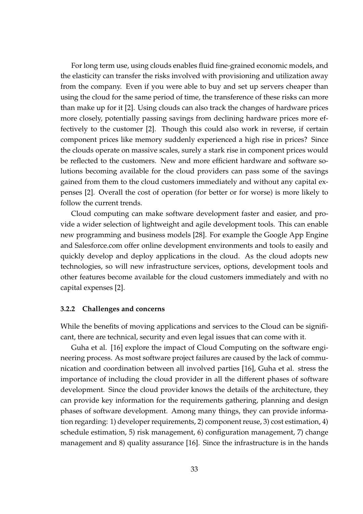For long term use, using clouds enables fluid fine-grained economic models, and the elasticity can transfer the risks involved with provisioning and utilization away from the company. Even if you were able to buy and set up servers cheaper than using the cloud for the same period of time, the transference of these risks can more than make up for it [2]. Using clouds can also track the changes of hardware prices more closely, potentially passing savings from declining hardware prices more effectively to the customer [2]. Though this could also work in reverse, if certain component prices like memory suddenly experienced a high rise in prices? Since the clouds operate on massive scales, surely a stark rise in component prices would be reflected to the customers. New and more efficient hardware and software solutions becoming available for the cloud providers can pass some of the savings gained from them to the cloud customers immediately and without any capital expenses [2]. Overall the cost of operation (for better or for worse) is more likely to follow the current trends.

Cloud computing can make software development faster and easier, and provide a wider selection of lightweight and agile development tools. This can enable new programming and business models [28]. For example the Google App Engine and Salesforce.com offer online development environments and tools to easily and quickly develop and deploy applications in the cloud. As the cloud adopts new technologies, so will new infrastructure services, options, development tools and other features become available for the cloud customers immediately and with no capital expenses [2].

#### **3.2.2 Challenges and concerns**

While the benefits of moving applications and services to the Cloud can be significant, there are technical, security and even legal issues that can come with it.

Guha et al. [16] explore the impact of Cloud Computing on the software engineering process. As most software project failures are caused by the lack of communication and coordination between all involved parties [16], Guha et al. stress the importance of including the cloud provider in all the different phases of software development. Since the cloud provider knows the details of the architecture, they can provide key information for the requirements gathering, planning and design phases of software development. Among many things, they can provide information regarding: 1) developer requirements, 2) component reuse, 3) cost estimation, 4) schedule estimation, 5) risk management, 6) configuration management, 7) change management and 8) quality assurance [16]. Since the infrastructure is in the hands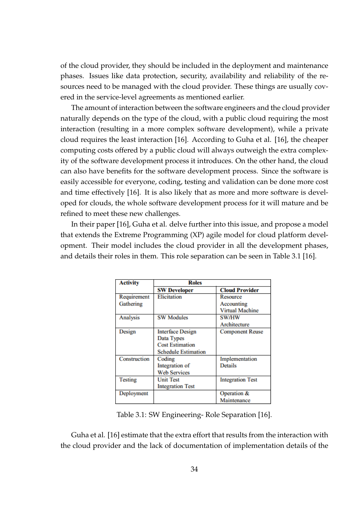of the cloud provider, they should be included in the deployment and maintenance phases. Issues like data protection, security, availability and reliability of the resources need to be managed with the cloud provider. These things are usually covered in the service-level agreements as mentioned earlier.

The amount of interaction between the software engineers and the cloud provider naturally depends on the type of the cloud, with a public cloud requiring the most interaction (resulting in a more complex software development), while a private cloud requires the least interaction [16]. According to Guha et al. [16], the cheaper computing costs offered by a public cloud will always outweigh the extra complexity of the software development process it introduces. On the other hand, the cloud can also have benefits for the software development process. Since the software is easily accessible for everyone, coding, testing and validation can be done more cost and time effectively [16]. It is also likely that as more and more software is developed for clouds, the whole software development process for it will mature and be refined to meet these new challenges.

In their paper [16], Guha et al. delve further into this issue, and propose a model that extends the Extreme Programming (XP) agile model for cloud platform development. Their model includes the cloud provider in all the development phases, and details their roles in them. This role separation can be seen in Table 3.1 [16].

| <b>Activity</b> | <b>Roles</b>               |                         |
|-----------------|----------------------------|-------------------------|
|                 | <b>SW Developer</b>        | <b>Cloud Provider</b>   |
| Requirement     | Elicitation                | Resource                |
| Gathering       |                            | Accounting              |
|                 |                            | <b>Virtual Machine</b>  |
| Analysis        | <b>SW Modules</b>          | <b>SW/HW</b>            |
|                 |                            | Architecture            |
| Design          | <b>Interface Design</b>    | <b>Component Reuse</b>  |
|                 | Data Types                 |                         |
|                 | <b>Cost Estimation</b>     |                         |
|                 | <b>Schedule Estimation</b> |                         |
| Construction    | Coding                     | Implementation          |
|                 | Integration of             | <b>Details</b>          |
|                 | <b>Web Services</b>        |                         |
| <b>Testing</b>  | <b>Unit Test</b>           | <b>Integration Test</b> |
|                 | <b>Integration Test</b>    |                         |
| Deployment      |                            | Operation &             |
|                 |                            | Maintenance             |

Table 3.1: SW Engineering- Role Separation [16].

Guha et al. [16] estimate that the extra effort that results from the interaction with the cloud provider and the lack of documentation of implementation details of the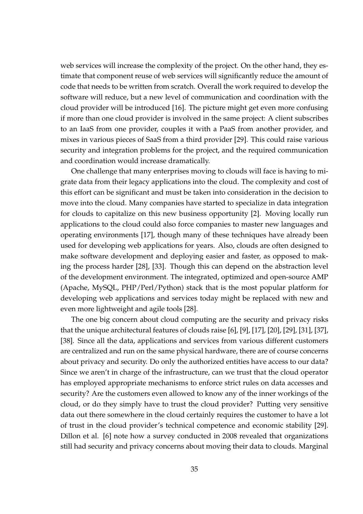web services will increase the complexity of the project. On the other hand, they estimate that component reuse of web services will significantly reduce the amount of code that needs to be written from scratch. Overall the work required to develop the software will reduce, but a new level of communication and coordination with the cloud provider will be introduced [16]. The picture might get even more confusing if more than one cloud provider is involved in the same project: A client subscribes to an IaaS from one provider, couples it with a PaaS from another provider, and mixes in various pieces of SaaS from a third provider [29]. This could raise various security and integration problems for the project, and the required communication and coordination would increase dramatically.

One challenge that many enterprises moving to clouds will face is having to migrate data from their legacy applications into the cloud. The complexity and cost of this effort can be significant and must be taken into consideration in the decision to move into the cloud. Many companies have started to specialize in data integration for clouds to capitalize on this new business opportunity [2]. Moving locally run applications to the cloud could also force companies to master new languages and operating environments [17], though many of these techniques have already been used for developing web applications for years. Also, clouds are often designed to make software development and deploying easier and faster, as opposed to making the process harder [28], [33]. Though this can depend on the abstraction level of the development environment. The integrated, optimized and open-source AMP (Apache, MySQL, PHP/Perl/Python) stack that is the most popular platform for developing web applications and services today might be replaced with new and even more lightweight and agile tools [28].

The one big concern about cloud computing are the security and privacy risks that the unique architectural features of clouds raise [6], [9], [17], [20], [29], [31], [37], [38]. Since all the data, applications and services from various different customers are centralized and run on the same physical hardware, there are of course concerns about privacy and security. Do only the authorized entities have access to our data? Since we aren't in charge of the infrastructure, can we trust that the cloud operator has employed appropriate mechanisms to enforce strict rules on data accesses and security? Are the customers even allowed to know any of the inner workings of the cloud, or do they simply have to trust the cloud provider? Putting very sensitive data out there somewhere in the cloud certainly requires the customer to have a lot of trust in the cloud provider's technical competence and economic stability [29]. Dillon et al. [6] note how a survey conducted in 2008 revealed that organizations still had security and privacy concerns about moving their data to clouds. Marginal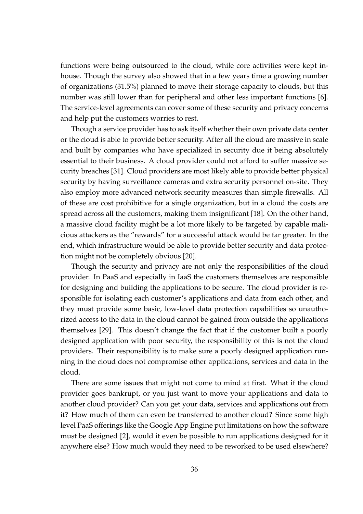functions were being outsourced to the cloud, while core activities were kept inhouse. Though the survey also showed that in a few years time a growing number of organizations (31.5%) planned to move their storage capacity to clouds, but this number was still lower than for peripheral and other less important functions [6]. The service-level agreements can cover some of these security and privacy concerns and help put the customers worries to rest.

Though a service provider has to ask itself whether their own private data center or the cloud is able to provide better security. After all the cloud are massive in scale and built by companies who have specialized in security due it being absolutely essential to their business. A cloud provider could not afford to suffer massive security breaches [31]. Cloud providers are most likely able to provide better physical security by having surveillance cameras and extra security personnel on-site. They also employ more advanced network security measures than simple firewalls. All of these are cost prohibitive for a single organization, but in a cloud the costs are spread across all the customers, making them insignificant [18]. On the other hand, a massive cloud facility might be a lot more likely to be targeted by capable malicious attackers as the "rewards" for a successful attack would be far greater. In the end, which infrastructure would be able to provide better security and data protection might not be completely obvious [20].

Though the security and privacy are not only the responsibilities of the cloud provider. In PaaS and especially in IaaS the customers themselves are responsible for designing and building the applications to be secure. The cloud provider is responsible for isolating each customer's applications and data from each other, and they must provide some basic, low-level data protection capabilities so unauthorized access to the data in the cloud cannot be gained from outside the applications themselves [29]. This doesn't change the fact that if the customer built a poorly designed application with poor security, the responsibility of this is not the cloud providers. Their responsibility is to make sure a poorly designed application running in the cloud does not compromise other applications, services and data in the cloud.

There are some issues that might not come to mind at first. What if the cloud provider goes bankrupt, or you just want to move your applications and data to another cloud provider? Can you get your data, services and applications out from it? How much of them can even be transferred to another cloud? Since some high level PaaS offerings like the Google App Engine put limitations on how the software must be designed [2], would it even be possible to run applications designed for it anywhere else? How much would they need to be reworked to be used elsewhere?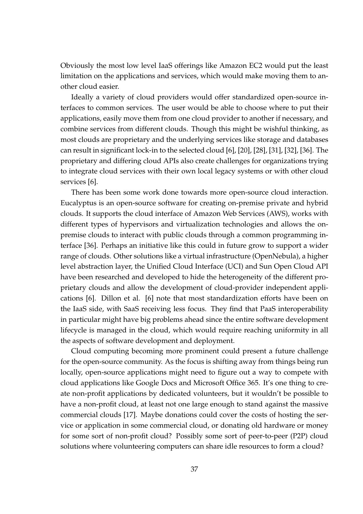Obviously the most low level IaaS offerings like Amazon EC2 would put the least limitation on the applications and services, which would make moving them to another cloud easier.

Ideally a variety of cloud providers would offer standardized open-source interfaces to common services. The user would be able to choose where to put their applications, easily move them from one cloud provider to another if necessary, and combine services from different clouds. Though this might be wishful thinking, as most clouds are proprietary and the underlying services like storage and databases can result in significant lock-in to the selected cloud [6], [20], [28], [31], [32], [36]. The proprietary and differing cloud APIs also create challenges for organizations trying to integrate cloud services with their own local legacy systems or with other cloud services [6].

There has been some work done towards more open-source cloud interaction. Eucalyptus is an open-source software for creating on-premise private and hybrid clouds. It supports the cloud interface of Amazon Web Services (AWS), works with different types of hypervisors and virtualization technologies and allows the onpremise clouds to interact with public clouds through a common programming interface [36]. Perhaps an initiative like this could in future grow to support a wider range of clouds. Other solutions like a virtual infrastructure (OpenNebula), a higher level abstraction layer, the Unified Cloud Interface (UCI) and Sun Open Cloud API have been researched and developed to hide the heterogeneity of the different proprietary clouds and allow the development of cloud-provider independent applications [6]. Dillon et al. [6] note that most standardization efforts have been on the IaaS side, with SaaS receiving less focus. They find that PaaS interoperability in particular might have big problems ahead since the entire software development lifecycle is managed in the cloud, which would require reaching uniformity in all the aspects of software development and deployment.

Cloud computing becoming more prominent could present a future challenge for the open-source community. As the focus is shifting away from things being run locally, open-source applications might need to figure out a way to compete with cloud applications like Google Docs and Microsoft Office 365. It's one thing to create non-profit applications by dedicated volunteers, but it wouldn't be possible to have a non-profit cloud, at least not one large enough to stand against the massive commercial clouds [17]. Maybe donations could cover the costs of hosting the service or application in some commercial cloud, or donating old hardware or money for some sort of non-profit cloud? Possibly some sort of peer-to-peer (P2P) cloud solutions where volunteering computers can share idle resources to form a cloud?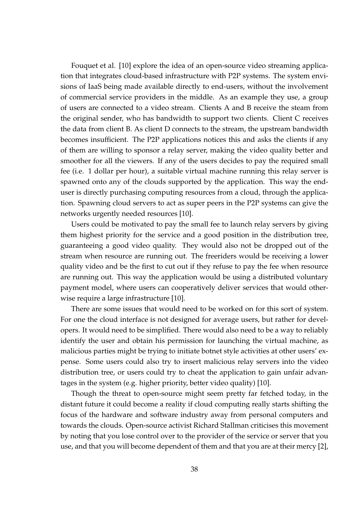Fouquet et al. [10] explore the idea of an open-source video streaming application that integrates cloud-based infrastructure with P2P systems. The system envisions of IaaS being made available directly to end-users, without the involvement of commercial service providers in the middle. As an example they use, a group of users are connected to a video stream. Clients A and B receive the steam from the original sender, who has bandwidth to support two clients. Client C receives the data from client B. As client D connects to the stream, the upstream bandwidth becomes insufficient. The P2P applications notices this and asks the clients if any of them are willing to sponsor a relay server, making the video quality better and smoother for all the viewers. If any of the users decides to pay the required small fee (i.e. 1 dollar per hour), a suitable virtual machine running this relay server is spawned onto any of the clouds supported by the application. This way the enduser is directly purchasing computing resources from a cloud, through the application. Spawning cloud servers to act as super peers in the P2P systems can give the networks urgently needed resources [10].

Users could be motivated to pay the small fee to launch relay servers by giving them highest priority for the service and a good position in the distribution tree, guaranteeing a good video quality. They would also not be dropped out of the stream when resource are running out. The freeriders would be receiving a lower quality video and be the first to cut out if they refuse to pay the fee when resource are running out. This way the application would be using a distributed voluntary payment model, where users can cooperatively deliver services that would otherwise require a large infrastructure [10].

There are some issues that would need to be worked on for this sort of system. For one the cloud interface is not designed for average users, but rather for developers. It would need to be simplified. There would also need to be a way to reliably identify the user and obtain his permission for launching the virtual machine, as malicious parties might be trying to initiate botnet style activities at other users' expense. Some users could also try to insert malicious relay servers into the video distribution tree, or users could try to cheat the application to gain unfair advantages in the system (e.g. higher priority, better video quality) [10].

Though the threat to open-source might seem pretty far fetched today, in the distant future it could become a reality if cloud computing really starts shifting the focus of the hardware and software industry away from personal computers and towards the clouds. Open-source activist Richard Stallman criticises this movement by noting that you lose control over to the provider of the service or server that you use, and that you will become dependent of them and that you are at their mercy [2],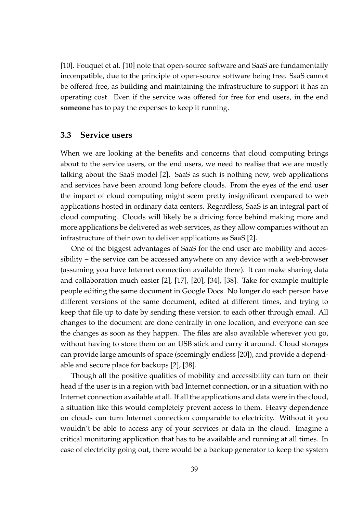[10]. Fouquet et al. [10] note that open-source software and SaaS are fundamentally incompatible, due to the principle of open-source software being free. SaaS cannot be offered free, as building and maintaining the infrastructure to support it has an operating cost. Even if the service was offered for free for end users, in the end **someone** has to pay the expenses to keep it running.

#### **3.3 Service users**

When we are looking at the benefits and concerns that cloud computing brings about to the service users, or the end users, we need to realise that we are mostly talking about the SaaS model [2]. SaaS as such is nothing new, web applications and services have been around long before clouds. From the eyes of the end user the impact of cloud computing might seem pretty insignificant compared to web applications hosted in ordinary data centers. Regardless, SaaS is an integral part of cloud computing. Clouds will likely be a driving force behind making more and more applications be delivered as web services, as they allow companies without an infrastructure of their own to deliver applications as SaaS [2].

One of the biggest advantages of SaaS for the end user are mobility and accessibility – the service can be accessed anywhere on any device with a web-browser (assuming you have Internet connection available there). It can make sharing data and collaboration much easier [2], [17], [20], [34], [38]. Take for example multiple people editing the same document in Google Docs. No longer do each person have different versions of the same document, edited at different times, and trying to keep that file up to date by sending these version to each other through email. All changes to the document are done centrally in one location, and everyone can see the changes as soon as they happen. The files are also available wherever you go, without having to store them on an USB stick and carry it around. Cloud storages can provide large amounts of space (seemingly endless [20]), and provide a dependable and secure place for backups [2], [38].

Though all the positive qualities of mobility and accessibility can turn on their head if the user is in a region with bad Internet connection, or in a situation with no Internet connection available at all. If all the applications and data were in the cloud, a situation like this would completely prevent access to them. Heavy dependence on clouds can turn Internet connection comparable to electricity. Without it you wouldn't be able to access any of your services or data in the cloud. Imagine a critical monitoring application that has to be available and running at all times. In case of electricity going out, there would be a backup generator to keep the system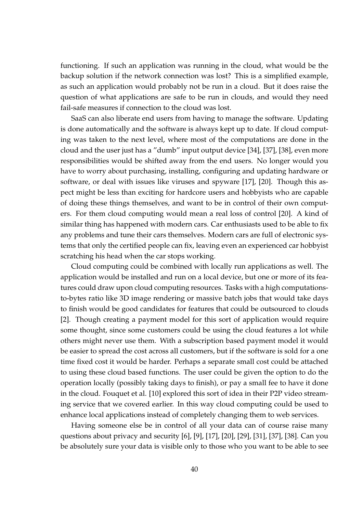functioning. If such an application was running in the cloud, what would be the backup solution if the network connection was lost? This is a simplified example, as such an application would probably not be run in a cloud. But it does raise the question of what applications are safe to be run in clouds, and would they need fail-safe measures if connection to the cloud was lost.

SaaS can also liberate end users from having to manage the software. Updating is done automatically and the software is always kept up to date. If cloud computing was taken to the next level, where most of the computations are done in the cloud and the user just has a "dumb" input output device [34], [37], [38], even more responsibilities would be shifted away from the end users. No longer would you have to worry about purchasing, installing, configuring and updating hardware or software, or deal with issues like viruses and spyware [17], [20]. Though this aspect might be less than exciting for hardcore users and hobbyists who are capable of doing these things themselves, and want to be in control of their own computers. For them cloud computing would mean a real loss of control [20]. A kind of similar thing has happened with modern cars. Car enthusiasts used to be able to fix any problems and tune their cars themselves. Modern cars are full of electronic systems that only the certified people can fix, leaving even an experienced car hobbyist scratching his head when the car stops working.

Cloud computing could be combined with locally run applications as well. The application would be installed and run on a local device, but one or more of its features could draw upon cloud computing resources. Tasks with a high computationsto-bytes ratio like 3D image rendering or massive batch jobs that would take days to finish would be good candidates for features that could be outsourced to clouds [2]. Though creating a payment model for this sort of application would require some thought, since some customers could be using the cloud features a lot while others might never use them. With a subscription based payment model it would be easier to spread the cost across all customers, but if the software is sold for a one time fixed cost it would be harder. Perhaps a separate small cost could be attached to using these cloud based functions. The user could be given the option to do the operation locally (possibly taking days to finish), or pay a small fee to have it done in the cloud. Fouquet et al. [10] explored this sort of idea in their P2P video streaming service that we covered earlier. In this way cloud computing could be used to enhance local applications instead of completely changing them to web services.

Having someone else be in control of all your data can of course raise many questions about privacy and security [6], [9], [17], [20], [29], [31], [37], [38]. Can you be absolutely sure your data is visible only to those who you want to be able to see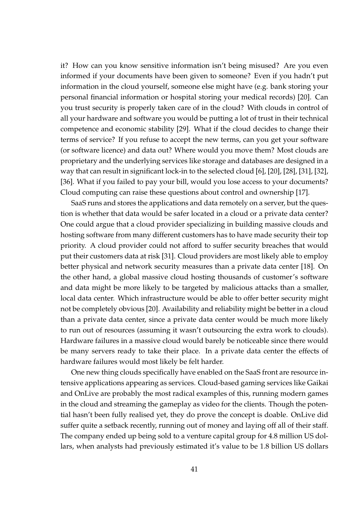it? How can you know sensitive information isn't being misused? Are you even informed if your documents have been given to someone? Even if you hadn't put information in the cloud yourself, someone else might have (e.g. bank storing your personal financial information or hospital storing your medical records) [20]. Can you trust security is properly taken care of in the cloud? With clouds in control of all your hardware and software you would be putting a lot of trust in their technical competence and economic stability [29]. What if the cloud decides to change their terms of service? If you refuse to accept the new terms, can you get your software (or software licence) and data out? Where would you move them? Most clouds are proprietary and the underlying services like storage and databases are designed in a way that can result in significant lock-in to the selected cloud [6], [20], [28], [31], [32], [36]. What if you failed to pay your bill, would you lose access to your documents? Cloud computing can raise these questions about control and ownership [17].

SaaS runs and stores the applications and data remotely on a server, but the question is whether that data would be safer located in a cloud or a private data center? One could argue that a cloud provider specializing in building massive clouds and hosting software from many different customers has to have made security their top priority. A cloud provider could not afford to suffer security breaches that would put their customers data at risk [31]. Cloud providers are most likely able to employ better physical and network security measures than a private data center [18]. On the other hand, a global massive cloud hosting thousands of customer's software and data might be more likely to be targeted by malicious attacks than a smaller, local data center. Which infrastructure would be able to offer better security might not be completely obvious [20]. Availability and reliability might be better in a cloud than a private data center, since a private data center would be much more likely to run out of resources (assuming it wasn't outsourcing the extra work to clouds). Hardware failures in a massive cloud would barely be noticeable since there would be many servers ready to take their place. In a private data center the effects of hardware failures would most likely be felt harder.

One new thing clouds specifically have enabled on the SaaS front are resource intensive applications appearing as services. Cloud-based gaming services like Gaikai and OnLive are probably the most radical examples of this, running modern games in the cloud and streaming the gameplay as video for the clients. Though the potential hasn't been fully realised yet, they do prove the concept is doable. OnLive did suffer quite a setback recently, running out of money and laying off all of their staff. The company ended up being sold to a venture capital group for 4.8 million US dollars, when analysts had previously estimated it's value to be 1.8 billion US dollars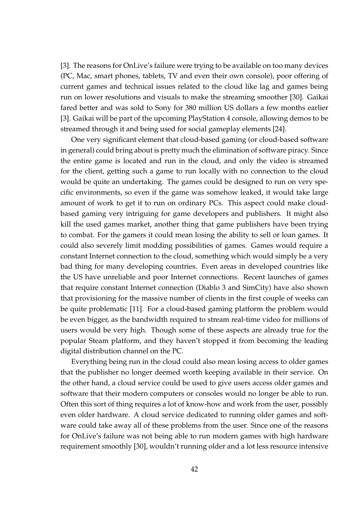[3]. The reasons for OnLive's failure were trying to be available on too many devices (PC, Mac, smart phones, tablets, TV and even their own console), poor offering of current games and technical issues related to the cloud like lag and games being run on lower resolutions and visuals to make the streaming smoother [30]. Gaikai fared better and was sold to Sony for 380 million US dollars a few months earlier [3]. Gaikai will be part of the upcoming PlayStation 4 console, allowing demos to be streamed through it and being used for social gameplay elements [24].

One very significant element that cloud-based gaming (or cloud-based software in general) could bring about is pretty much the elimination of software piracy. Since the entire game is located and run in the cloud, and only the video is streamed for the client, getting such a game to run locally with no connection to the cloud would be quite an undertaking. The games could be designed to run on very specific environments, so even if the game was somehow leaked, it would take large amount of work to get it to run on ordinary PCs. This aspect could make cloudbased gaming very intriguing for game developers and publishers. It might also kill the used games market, another thing that game publishers have been trying to combat. For the gamers it could mean losing the ability to sell or loan games. It could also severely limit modding possibilities of games. Games would require a constant Internet connection to the cloud, something which would simply be a very bad thing for many developing countries. Even areas in developed countries like the US have unreliable and poor Internet connections. Recent launches of games that require constant Internet connection (Diablo 3 and SimCity) have also shown that provisioning for the massive number of clients in the first couple of weeks can be quite problematic [11]. For a cloud-based gaming platform the problem would be even bigger, as the bandwidth required to stream real-time video for millions of users would be very high. Though some of these aspects are already true for the popular Steam platform, and they haven't stopped it from becoming the leading digital distribution channel on the PC.

Everything being run in the cloud could also mean losing access to older games that the publisher no longer deemed worth keeping available in their service. On the other hand, a cloud service could be used to give users access older games and software that their modern computers or consoles would no longer be able to run. Often this sort of thing requires a lot of know-how and work from the user, possibly even older hardware. A cloud service dedicated to running older games and software could take away all of these problems from the user. Since one of the reasons for OnLive's failure was not being able to run modern games with high hardware requirement smoothly [30], wouldn't running older and a lot less resource intensive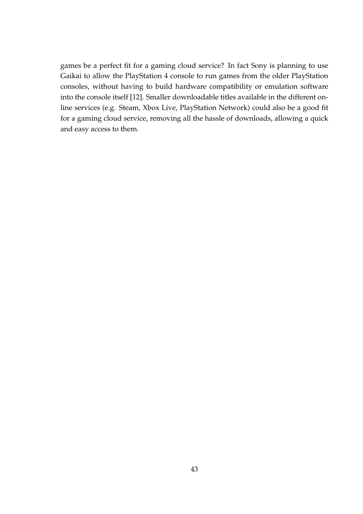games be a perfect fit for a gaming cloud service? In fact Sony is planning to use Gaikai to allow the PlayStation 4 console to run games from the older PlayStation consoles, without having to build hardware compatibility or emulation software into the console itself [12]. Smaller downloadable titles available in the different online services (e.g. Steam, Xbox Live, PlayStation Network) could also be a good fit for a gaming cloud service, removing all the hassle of downloads, allowing a quick and easy access to them.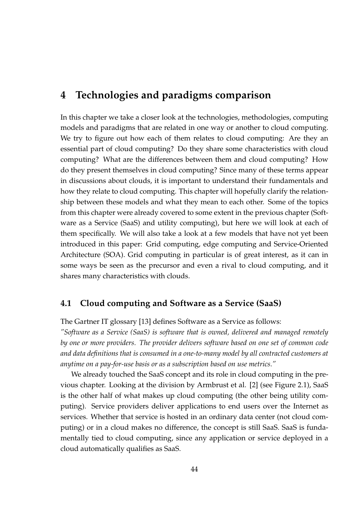## **4 Technologies and paradigms comparison**

In this chapter we take a closer look at the technologies, methodologies, computing models and paradigms that are related in one way or another to cloud computing. We try to figure out how each of them relates to cloud computing: Are they an essential part of cloud computing? Do they share some characteristics with cloud computing? What are the differences between them and cloud computing? How do they present themselves in cloud computing? Since many of these terms appear in discussions about clouds, it is important to understand their fundamentals and how they relate to cloud computing. This chapter will hopefully clarify the relationship between these models and what they mean to each other. Some of the topics from this chapter were already covered to some extent in the previous chapter (Software as a Service (SaaS) and utility computing), but here we will look at each of them specifically. We will also take a look at a few models that have not yet been introduced in this paper: Grid computing, edge computing and Service-Oriented Architecture (SOA). Grid computing in particular is of great interest, as it can in some ways be seen as the precursor and even a rival to cloud computing, and it shares many characteristics with clouds.

### **4.1 Cloud computing and Software as a Service (SaaS)**

The Gartner IT glossary [13] defines Software as a Service as follows:

*"Software as a Service (SaaS) is software that is owned, delivered and managed remotely by one or more providers. The provider delivers software based on one set of common code and data definitions that is consumed in a one-to-many model by all contracted customers at anytime on a pay-for-use basis or as a subscription based on use metrics."*

We already touched the SaaS concept and its role in cloud computing in the previous chapter. Looking at the division by Armbrust et al. [2] (see Figure 2.1), SaaS is the other half of what makes up cloud computing (the other being utility computing). Service providers deliver applications to end users over the Internet as services. Whether that service is hosted in an ordinary data center (not cloud computing) or in a cloud makes no difference, the concept is still SaaS. SaaS is fundamentally tied to cloud computing, since any application or service deployed in a cloud automatically qualifies as SaaS.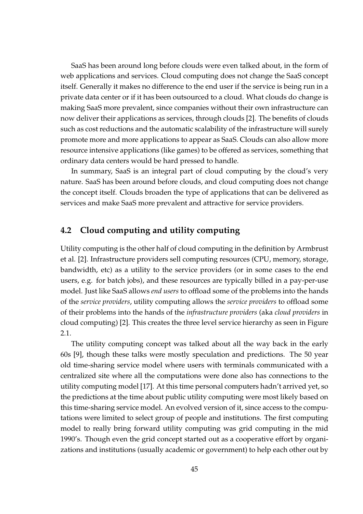SaaS has been around long before clouds were even talked about, in the form of web applications and services. Cloud computing does not change the SaaS concept itself. Generally it makes no difference to the end user if the service is being run in a private data center or if it has been outsourced to a cloud. What clouds do change is making SaaS more prevalent, since companies without their own infrastructure can now deliver their applications as services, through clouds [2]. The benefits of clouds such as cost reductions and the automatic scalability of the infrastructure will surely promote more and more applications to appear as SaaS. Clouds can also allow more resource intensive applications (like games) to be offered as services, something that ordinary data centers would be hard pressed to handle.

In summary, SaaS is an integral part of cloud computing by the cloud's very nature. SaaS has been around before clouds, and cloud computing does not change the concept itself. Clouds broaden the type of applications that can be delivered as services and make SaaS more prevalent and attractive for service providers.

### **4.2 Cloud computing and utility computing**

Utility computing is the other half of cloud computing in the definition by Armbrust et al. [2]. Infrastructure providers sell computing resources (CPU, memory, storage, bandwidth, etc) as a utility to the service providers (or in some cases to the end users, e.g. for batch jobs), and these resources are typically billed in a pay-per-use model. Just like SaaS allows *end users* to offload some of the problems into the hands of the *service providers*, utility computing allows the *service providers* to offload some of their problems into the hands of the *infrastructure providers* (aka *cloud providers* in cloud computing) [2]. This creates the three level service hierarchy as seen in Figure 2.1.

The utility computing concept was talked about all the way back in the early 60s [9], though these talks were mostly speculation and predictions. The 50 year old time-sharing service model where users with terminals communicated with a centralized site where all the computations were done also has connections to the utility computing model [17]. At this time personal computers hadn't arrived yet, so the predictions at the time about public utility computing were most likely based on this time-sharing service model. An evolved version of it, since access to the computations were limited to select group of people and institutions. The first computing model to really bring forward utility computing was grid computing in the mid 1990's. Though even the grid concept started out as a cooperative effort by organizations and institutions (usually academic or government) to help each other out by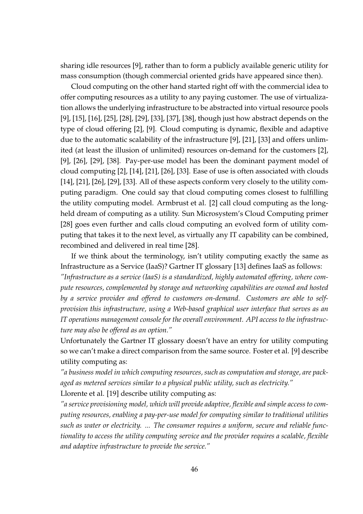sharing idle resources [9], rather than to form a publicly available generic utility for mass consumption (though commercial oriented grids have appeared since then).

Cloud computing on the other hand started right off with the commercial idea to offer computing resources as a utility to any paying customer. The use of virtualization allows the underlying infrastructure to be abstracted into virtual resource pools [9], [15], [16], [25], [28], [29], [33], [37], [38], though just how abstract depends on the type of cloud offering [2], [9]. Cloud computing is dynamic, flexible and adaptive due to the automatic scalability of the infrastructure [9], [21], [33] and offers unlimited (at least the illusion of unlimited) resources on-demand for the customers [2], [9], [26], [29], [38]. Pay-per-use model has been the dominant payment model of cloud computing [2], [14], [21], [26], [33]. Ease of use is often associated with clouds [14], [21], [26], [29], [33]. All of these aspects conform very closely to the utility computing paradigm. One could say that cloud computing comes closest to fulfilling the utility computing model. Armbrust et al. [2] call cloud computing as the longheld dream of computing as a utility. Sun Microsystem's Cloud Computing primer [28] goes even further and calls cloud computing an evolved form of utility computing that takes it to the next level, as virtually any IT capability can be combined, recombined and delivered in real time [28].

If we think about the terminology, isn't utility computing exactly the same as Infrastructure as a Service (IaaS)? Gartner IT glossary [13] defines IaaS as follows:

*"Infrastructure as a service (IaaS) is a standardized, highly automated offering, where compute resources, complemented by storage and networking capabilities are owned and hosted by a service provider and offered to customers on-demand. Customers are able to selfprovision this infrastructure, using a Web-based graphical user interface that serves as an IT operations management console for the overall environment. API access to the infrastructure may also be offered as an option."*

Unfortunately the Gartner IT glossary doesn't have an entry for utility computing so we can't make a direct comparison from the same source. Foster et al. [9] describe utility computing as:

*"a business model in which computing resources, such as computation and storage, are packaged as metered services similar to a physical public utility, such as electricity."* Llorente et al. [19] describe utility computing as:

*"a service provisioning model, which will provide adaptive, flexible and simple access to computing resources, enabling a pay-per-use model for computing similar to traditional utilities such as water or electricity. ... The consumer requires a uniform, secure and reliable functionality to access the utility computing service and the provider requires a scalable, flexible and adaptive infrastructure to provide the service."*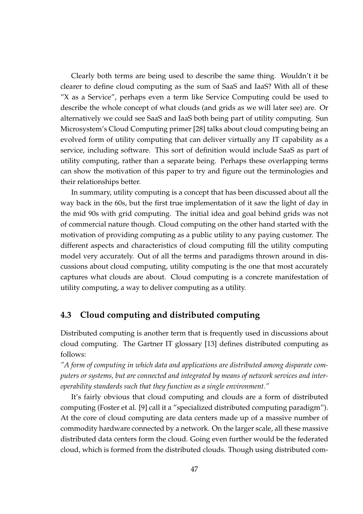Clearly both terms are being used to describe the same thing. Wouldn't it be clearer to define cloud computing as the sum of SaaS and IaaS? With all of these "X as a Service", perhaps even a term like Service Computing could be used to describe the whole concept of what clouds (and grids as we will later see) are. Or alternatively we could see SaaS and IaaS both being part of utility computing. Sun Microsystem's Cloud Computing primer [28] talks about cloud computing being an evolved form of utility computing that can deliver virtually any IT capability as a service, including software. This sort of definition would include SaaS as part of utility computing, rather than a separate being. Perhaps these overlapping terms can show the motivation of this paper to try and figure out the terminologies and their relationships better.

In summary, utility computing is a concept that has been discussed about all the way back in the 60s, but the first true implementation of it saw the light of day in the mid 90s with grid computing. The initial idea and goal behind grids was not of commercial nature though. Cloud computing on the other hand started with the motivation of providing computing as a public utility to any paying customer. The different aspects and characteristics of cloud computing fill the utility computing model very accurately. Out of all the terms and paradigms thrown around in discussions about cloud computing, utility computing is the one that most accurately captures what clouds are about. Cloud computing is a concrete manifestation of utility computing, a way to deliver computing as a utility.

### **4.3 Cloud computing and distributed computing**

Distributed computing is another term that is frequently used in discussions about cloud computing. The Gartner IT glossary [13] defines distributed computing as follows:

*"A form of computing in which data and applications are distributed among disparate computers or systems, but are connected and integrated by means of network services and interoperability standards such that they function as a single environment."*

It's fairly obvious that cloud computing and clouds are a form of distributed computing (Foster et al. [9] call it a "specialized distributed computing paradigm"). At the core of cloud computing are data centers made up of a massive number of commodity hardware connected by a network. On the larger scale, all these massive distributed data centers form the cloud. Going even further would be the federated cloud, which is formed from the distributed clouds. Though using distributed com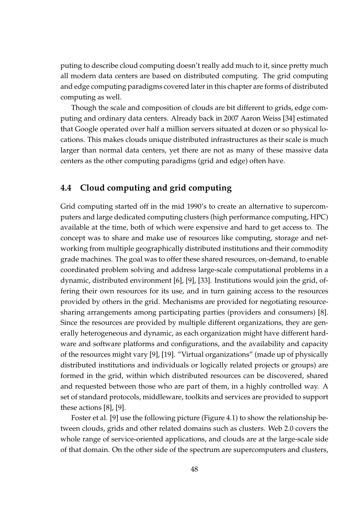puting to describe cloud computing doesn't really add much to it, since pretty much all modern data centers are based on distributed computing. The grid computing and edge computing paradigms covered later in this chapter are forms of distributed computing as well.

Though the scale and composition of clouds are bit different to grids, edge computing and ordinary data centers. Already back in 2007 Aaron Weiss [34] estimated that Google operated over half a million servers situated at dozen or so physical locations. This makes clouds unique distributed infrastructures as their scale is much larger than normal data centers, yet there are not as many of these massive data centers as the other computing paradigms (grid and edge) often have.

### **4.4 Cloud computing and grid computing**

Grid computing started off in the mid 1990's to create an alternative to supercomputers and large dedicated computing clusters (high performance computing, HPC) available at the time, both of which were expensive and hard to get access to. The concept was to share and make use of resources like computing, storage and networking from multiple geographically distributed institutions and their commodity grade machines. The goal was to offer these shared resources, on-demand, to enable coordinated problem solving and address large-scale computational problems in a dynamic, distributed environment [6], [9], [33]. Institutions would join the grid, offering their own resources for its use, and in turn gaining access to the resources provided by others in the grid. Mechanisms are provided for negotiating resourcesharing arrangements among participating parties (providers and consumers) [8]. Since the resources are provided by multiple different organizations, they are generally heterogeneous and dynamic, as each organization might have different hardware and software platforms and configurations, and the availability and capacity of the resources might vary [9], [19]. "Virtual organizations" (made up of physically distributed institutions and individuals or logically related projects or groups) are formed in the grid, within which distributed resources can be discovered, shared and requested between those who are part of them, in a highly controlled way. A set of standard protocols, middleware, toolkits and services are provided to support these actions [8], [9].

Foster et al. [9] use the following picture (Figure 4.1) to show the relationship between clouds, grids and other related domains such as clusters. Web 2.0 covers the whole range of service-oriented applications, and clouds are at the large-scale side of that domain. On the other side of the spectrum are supercomputers and clusters,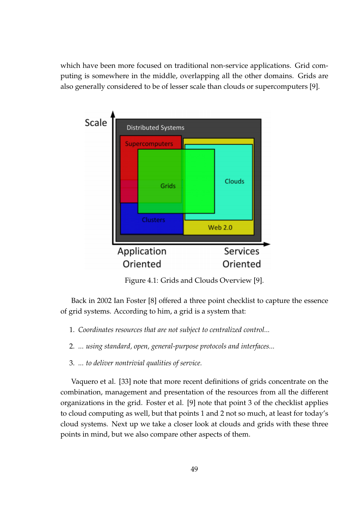which have been more focused on traditional non-service applications. Grid computing is somewhere in the middle, overlapping all the other domains. Grids are also generally considered to be of lesser scale than clouds or supercomputers [9].



Figure 4.1: Grids and Clouds Overview [9].

Back in 2002 Ian Foster [8] offered a three point checklist to capture the essence of grid systems. According to him, a grid is a system that:

- 1. *Coordinates resources that are not subject to centralized control...*
- 2. *... using standard, open, general-purpose protocols and interfaces...*
- 3. *... to deliver nontrivial qualities of service.*

Vaquero et al. [33] note that more recent definitions of grids concentrate on the combination, management and presentation of the resources from all the different organizations in the grid. Foster et al. [9] note that point 3 of the checklist applies to cloud computing as well, but that points 1 and 2 not so much, at least for today's cloud systems. Next up we take a closer look at clouds and grids with these three points in mind, but we also compare other aspects of them.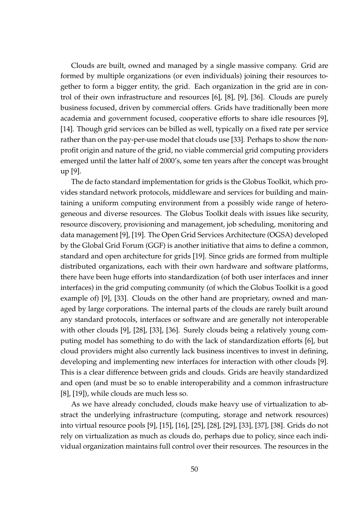Clouds are built, owned and managed by a single massive company. Grid are formed by multiple organizations (or even individuals) joining their resources together to form a bigger entity, the grid. Each organization in the grid are in control of their own infrastructure and resources [6], [8], [9], [36]. Clouds are purely business focused, driven by commercial offers. Grids have traditionally been more academia and government focused, cooperative efforts to share idle resources [9], [14]. Though grid services can be billed as well, typically on a fixed rate per service rather than on the pay-per-use model that clouds use [33]. Perhaps to show the nonprofit origin and nature of the grid, no viable commercial grid computing providers emerged until the latter half of 2000's, some ten years after the concept was brought up [9].

The de facto standard implementation for grids is the Globus Toolkit, which provides standard network protocols, middleware and services for building and maintaining a uniform computing environment from a possibly wide range of heterogeneous and diverse resources. The Globus Toolkit deals with issues like security, resource discovery, provisioning and management, job scheduling, monitoring and data management [9], [19]. The Open Grid Services Architecture (OGSA) developed by the Global Grid Forum (GGF) is another initiative that aims to define a common, standard and open architecture for grids [19]. Since grids are formed from multiple distributed organizations, each with their own hardware and software platforms, there have been huge efforts into standardization (of both user interfaces and inner interfaces) in the grid computing community (of which the Globus Toolkit is a good example of) [9], [33]. Clouds on the other hand are proprietary, owned and managed by large corporations. The internal parts of the clouds are rarely built around any standard protocols, interfaces or software and are generally not interoperable with other clouds [9], [28], [33], [36]. Surely clouds being a relatively young computing model has something to do with the lack of standardization efforts [6], but cloud providers might also currently lack business incentives to invest in defining, developing and implementing new interfaces for interaction with other clouds [9]. This is a clear difference between grids and clouds. Grids are heavily standardized and open (and must be so to enable interoperability and a common infrastructure [8], [19]), while clouds are much less so.

As we have already concluded, clouds make heavy use of virtualization to abstract the underlying infrastructure (computing, storage and network resources) into virtual resource pools [9], [15], [16], [25], [28], [29], [33], [37], [38]. Grids do not rely on virtualization as much as clouds do, perhaps due to policy, since each individual organization maintains full control over their resources. The resources in the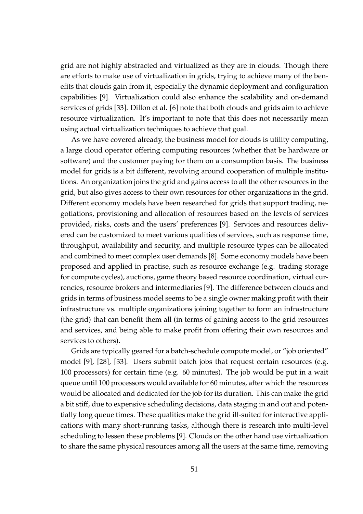grid are not highly abstracted and virtualized as they are in clouds. Though there are efforts to make use of virtualization in grids, trying to achieve many of the benefits that clouds gain from it, especially the dynamic deployment and configuration capabilities [9]. Virtualization could also enhance the scalability and on-demand services of grids [33]. Dillon et al. [6] note that both clouds and grids aim to achieve resource virtualization. It's important to note that this does not necessarily mean using actual virtualization techniques to achieve that goal.

As we have covered already, the business model for clouds is utility computing, a large cloud operator offering computing resources (whether that be hardware or software) and the customer paying for them on a consumption basis. The business model for grids is a bit different, revolving around cooperation of multiple institutions. An organization joins the grid and gains access to all the other resources in the grid, but also gives access to their own resources for other organizations in the grid. Different economy models have been researched for grids that support trading, negotiations, provisioning and allocation of resources based on the levels of services provided, risks, costs and the users' preferences [9]. Services and resources delivered can be customized to meet various qualities of services, such as response time, throughput, availability and security, and multiple resource types can be allocated and combined to meet complex user demands [8]. Some economy models have been proposed and applied in practise, such as resource exchange (e.g. trading storage for compute cycles), auctions, game theory based resource coordination, virtual currencies, resource brokers and intermediaries [9]. The difference between clouds and grids in terms of business model seems to be a single owner making profit with their infrastructure vs. multiple organizations joining together to form an infrastructure (the grid) that can benefit them all (in terms of gaining access to the grid resources and services, and being able to make profit from offering their own resources and services to others).

Grids are typically geared for a batch-schedule compute model, or "job oriented" model [9], [28], [33]. Users submit batch jobs that request certain resources (e.g. 100 processors) for certain time (e.g. 60 minutes). The job would be put in a wait queue until 100 processors would available for 60 minutes, after which the resources would be allocated and dedicated for the job for its duration. This can make the grid a bit stiff, due to expensive scheduling decisions, data staging in and out and potentially long queue times. These qualities make the grid ill-suited for interactive applications with many short-running tasks, although there is research into multi-level scheduling to lessen these problems [9]. Clouds on the other hand use virtualization to share the same physical resources among all the users at the same time, removing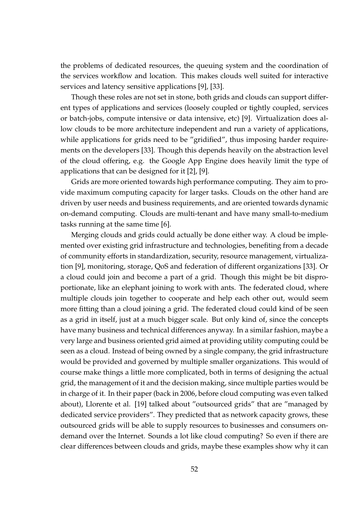the problems of dedicated resources, the queuing system and the coordination of the services workflow and location. This makes clouds well suited for interactive services and latency sensitive applications [9], [33].

Though these roles are not set in stone, both grids and clouds can support different types of applications and services (loosely coupled or tightly coupled, services or batch-jobs, compute intensive or data intensive, etc) [9]. Virtualization does allow clouds to be more architecture independent and run a variety of applications, while applications for grids need to be "gridified", thus imposing harder requirements on the developers [33]. Though this depends heavily on the abstraction level of the cloud offering, e.g. the Google App Engine does heavily limit the type of applications that can be designed for it [2], [9].

Grids are more oriented towards high performance computing. They aim to provide maximum computing capacity for larger tasks. Clouds on the other hand are driven by user needs and business requirements, and are oriented towards dynamic on-demand computing. Clouds are multi-tenant and have many small-to-medium tasks running at the same time [6].

Merging clouds and grids could actually be done either way. A cloud be implemented over existing grid infrastructure and technologies, benefiting from a decade of community efforts in standardization, security, resource management, virtualization [9], monitoring, storage, QoS and federation of different organizations [33]. Or a cloud could join and become a part of a grid. Though this might be bit disproportionate, like an elephant joining to work with ants. The federated cloud, where multiple clouds join together to cooperate and help each other out, would seem more fitting than a cloud joining a grid. The federated cloud could kind of be seen as a grid in itself, just at a much bigger scale. But only kind of, since the concepts have many business and technical differences anyway. In a similar fashion, maybe a very large and business oriented grid aimed at providing utility computing could be seen as a cloud. Instead of being owned by a single company, the grid infrastructure would be provided and governed by multiple smaller organizations. This would of course make things a little more complicated, both in terms of designing the actual grid, the management of it and the decision making, since multiple parties would be in charge of it. In their paper (back in 2006, before cloud computing was even talked about), Llorente et al. [19] talked about "outsourced grids" that are "managed by dedicated service providers". They predicted that as network capacity grows, these outsourced grids will be able to supply resources to businesses and consumers ondemand over the Internet. Sounds a lot like cloud computing? So even if there are clear differences between clouds and grids, maybe these examples show why it can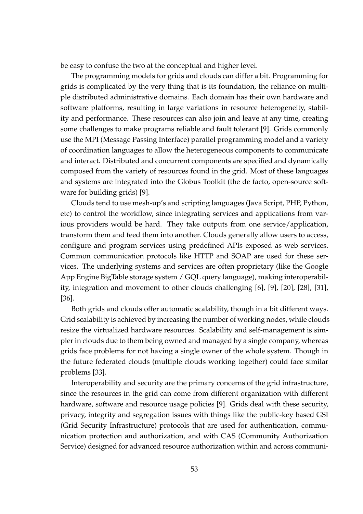be easy to confuse the two at the conceptual and higher level.

The programming models for grids and clouds can differ a bit. Programming for grids is complicated by the very thing that is its foundation, the reliance on multiple distributed administrative domains. Each domain has their own hardware and software platforms, resulting in large variations in resource heterogeneity, stability and performance. These resources can also join and leave at any time, creating some challenges to make programs reliable and fault tolerant [9]. Grids commonly use the MPI (Message Passing Interface) parallel programming model and a variety of coordination languages to allow the heterogeneous components to communicate and interact. Distributed and concurrent components are specified and dynamically composed from the variety of resources found in the grid. Most of these languages and systems are integrated into the Globus Toolkit (the de facto, open-source software for building grids) [9].

Clouds tend to use mesh-up's and scripting languages (Java Script, PHP, Python, etc) to control the workflow, since integrating services and applications from various providers would be hard. They take outputs from one service/application, transform them and feed them into another. Clouds generally allow users to access, configure and program services using predefined APIs exposed as web services. Common communication protocols like HTTP and SOAP are used for these services. The underlying systems and services are often proprietary (like the Google App Engine BigTable storage system / GQL query language), making interoperability, integration and movement to other clouds challenging [6], [9], [20], [28], [31], [36].

Both grids and clouds offer automatic scalability, though in a bit different ways. Grid scalability is achieved by increasing the number of working nodes, while clouds resize the virtualized hardware resources. Scalability and self-management is simpler in clouds due to them being owned and managed by a single company, whereas grids face problems for not having a single owner of the whole system. Though in the future federated clouds (multiple clouds working together) could face similar problems [33].

Interoperability and security are the primary concerns of the grid infrastructure, since the resources in the grid can come from different organization with different hardware, software and resource usage policies [9]. Grids deal with these security, privacy, integrity and segregation issues with things like the public-key based GSI (Grid Security Infrastructure) protocols that are used for authentication, communication protection and authorization, and with CAS (Community Authorization Service) designed for advanced resource authorization within and across communi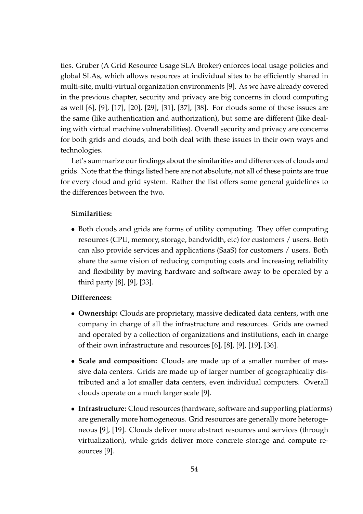ties. Gruber (A Grid Resource Usage SLA Broker) enforces local usage policies and global SLAs, which allows resources at individual sites to be efficiently shared in multi-site, multi-virtual organization environments [9]. As we have already covered in the previous chapter, security and privacy are big concerns in cloud computing as well [6], [9], [17], [20], [29], [31], [37], [38]. For clouds some of these issues are the same (like authentication and authorization), but some are different (like dealing with virtual machine vulnerabilities). Overall security and privacy are concerns for both grids and clouds, and both deal with these issues in their own ways and technologies.

Let's summarize our findings about the similarities and differences of clouds and grids. Note that the things listed here are not absolute, not all of these points are true for every cloud and grid system. Rather the list offers some general guidelines to the differences between the two.

#### **Similarities:**

• Both clouds and grids are forms of utility computing. They offer computing resources (CPU, memory, storage, bandwidth, etc) for customers / users. Both can also provide services and applications (SaaS) for customers / users. Both share the same vision of reducing computing costs and increasing reliability and flexibility by moving hardware and software away to be operated by a third party [8], [9], [33].

#### **Differences:**

- *•* **Ownership:** Clouds are proprietary, massive dedicated data centers, with one company in charge of all the infrastructure and resources. Grids are owned and operated by a collection of organizations and institutions, each in charge of their own infrastructure and resources [6], [8], [9], [19], [36].
- *•* **Scale and composition:** Clouds are made up of a smaller number of massive data centers. Grids are made up of larger number of geographically distributed and a lot smaller data centers, even individual computers. Overall clouds operate on a much larger scale [9].
- *•* **Infrastructure:** Cloud resources (hardware, software and supporting platforms) are generally more homogeneous. Grid resources are generally more heterogeneous [9], [19]. Clouds deliver more abstract resources and services (through virtualization), while grids deliver more concrete storage and compute resources [9].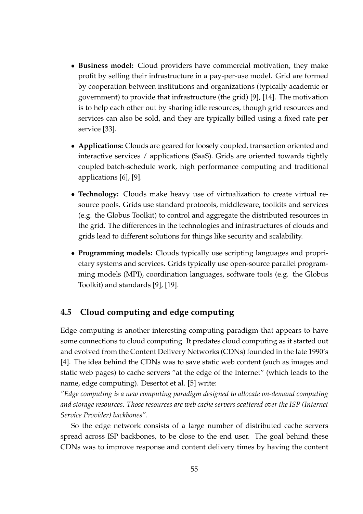- *•* **Business model:** Cloud providers have commercial motivation, they make profit by selling their infrastructure in a pay-per-use model. Grid are formed by cooperation between institutions and organizations (typically academic or government) to provide that infrastructure (the grid) [9], [14]. The motivation is to help each other out by sharing idle resources, though grid resources and services can also be sold, and they are typically billed using a fixed rate per service [33].
- *•* **Applications:** Clouds are geared for loosely coupled, transaction oriented and interactive services / applications (SaaS). Grids are oriented towards tightly coupled batch-schedule work, high performance computing and traditional applications [6], [9].
- *•* **Technology:** Clouds make heavy use of virtualization to create virtual resource pools. Grids use standard protocols, middleware, toolkits and services (e.g. the Globus Toolkit) to control and aggregate the distributed resources in the grid. The differences in the technologies and infrastructures of clouds and grids lead to different solutions for things like security and scalability.
- *•* **Programming models:** Clouds typically use scripting languages and proprietary systems and services. Grids typically use open-source parallel programming models (MPI), coordination languages, software tools (e.g. the Globus Toolkit) and standards [9], [19].

### **4.5 Cloud computing and edge computing**

Edge computing is another interesting computing paradigm that appears to have some connections to cloud computing. It predates cloud computing as it started out and evolved from the Content Delivery Networks (CDNs) founded in the late 1990's [4]. The idea behind the CDNs was to save static web content (such as images and static web pages) to cache servers "at the edge of the Internet" (which leads to the name, edge computing). Desertot et al. [5] write:

*"Edge computing is a new computing paradigm designed to allocate on-demand computing and storage resources. Those resources are web cache servers scattered over the ISP (Internet Service Provider) backbones"*.

So the edge network consists of a large number of distributed cache servers spread across ISP backbones, to be close to the end user. The goal behind these CDNs was to improve response and content delivery times by having the content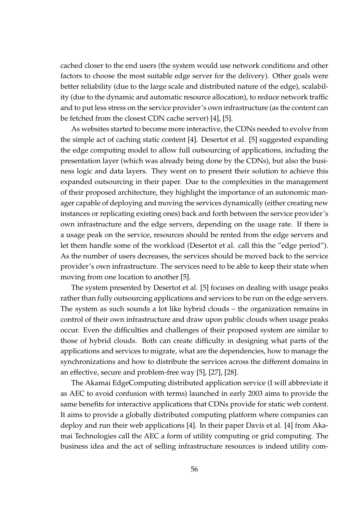cached closer to the end users (the system would use network conditions and other factors to choose the most suitable edge server for the delivery). Other goals were better reliability (due to the large scale and distributed nature of the edge), scalability (due to the dynamic and automatic resource allocation), to reduce network traffic and to put less stress on the service provider's own infrastructure (as the content can be fetched from the closest CDN cache server) [4], [5].

As websites started to become more interactive, the CDNs needed to evolve from the simple act of caching static content [4]. Desertot et al. [5] suggested expanding the edge computing model to allow full outsourcing of applications, including the presentation layer (which was already being done by the CDNs), but also the business logic and data layers. They went on to present their solution to achieve this expanded outsourcing in their paper. Due to the complexities in the management of their proposed architecture, they highlight the importance of an autonomic manager capable of deploying and moving the services dynamically (either creating new instances or replicating existing ones) back and forth between the service provider's own infrastructure and the edge servers, depending on the usage rate. If there is a usage peak on the service, resources should be rented from the edge servers and let them handle some of the workload (Desertot et al. call this the "edge period"). As the number of users decreases, the services should be moved back to the service provider's own infrastructure. The services need to be able to keep their state when moving from one location to another [5].

The system presented by Desertot et al. [5] focuses on dealing with usage peaks rather than fully outsourcing applications and services to be run on the edge servers. The system as such sounds a lot like hybrid clouds – the organization remains in control of their own infrastructure and draw upon public clouds when usage peaks occur. Even the difficulties and challenges of their proposed system are similar to those of hybrid clouds. Both can create difficulty in designing what parts of the applications and services to migrate, what are the dependencies, how to manage the synchronizations and how to distribute the services across the different domains in an effective, secure and problem-free way [5], [27], [28].

The Akamai EdgeComputing distributed application service (I will abbreviate it as AEC to avoid confusion with terms) launched in early 2003 aims to provide the same benefits for interactive applications that CDNs provide for static web content. It aims to provide a globally distributed computing platform where companies can deploy and run their web applications [4]. In their paper Davis et al. [4] from Akamai Technologies call the AEC a form of utility computing or grid computing. The business idea and the act of selling infrastructure resources is indeed utility com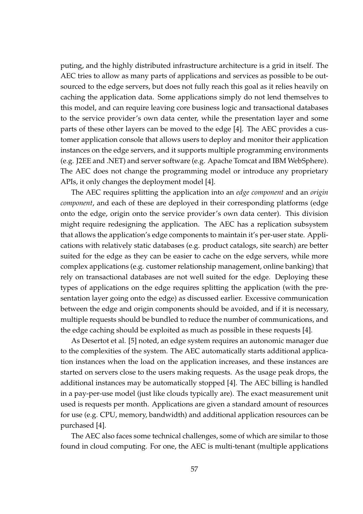puting, and the highly distributed infrastructure architecture is a grid in itself. The AEC tries to allow as many parts of applications and services as possible to be outsourced to the edge servers, but does not fully reach this goal as it relies heavily on caching the application data. Some applications simply do not lend themselves to this model, and can require leaving core business logic and transactional databases to the service provider's own data center, while the presentation layer and some parts of these other layers can be moved to the edge [4]. The AEC provides a customer application console that allows users to deploy and monitor their application instances on the edge servers, and it supports multiple programming environments (e.g. J2EE and .NET) and server software (e.g. Apache Tomcat and IBM WebSphere). The AEC does not change the programming model or introduce any proprietary APIs, it only changes the deployment model [4].

The AEC requires splitting the application into an *edge component* and an *origin component*, and each of these are deployed in their corresponding platforms (edge onto the edge, origin onto the service provider's own data center). This division might require redesigning the application. The AEC has a replication subsystem that allows the application's edge components to maintain it's per-user state. Applications with relatively static databases (e.g. product catalogs, site search) are better suited for the edge as they can be easier to cache on the edge servers, while more complex applications (e.g. customer relationship management, online banking) that rely on transactional databases are not well suited for the edge. Deploying these types of applications on the edge requires splitting the application (with the presentation layer going onto the edge) as discussed earlier. Excessive communication between the edge and origin components should be avoided, and if it is necessary, multiple requests should be bundled to reduce the number of communications, and the edge caching should be exploited as much as possible in these requests [4].

As Desertot et al. [5] noted, an edge system requires an autonomic manager due to the complexities of the system. The AEC automatically starts additional application instances when the load on the application increases, and these instances are started on servers close to the users making requests. As the usage peak drops, the additional instances may be automatically stopped [4]. The AEC billing is handled in a pay-per-use model (just like clouds typically are). The exact measurement unit used is requests per month. Applications are given a standard amount of resources for use (e.g. CPU, memory, bandwidth) and additional application resources can be purchased [4].

The AEC also faces some technical challenges, some of which are similar to those found in cloud computing. For one, the AEC is multi-tenant (multiple applications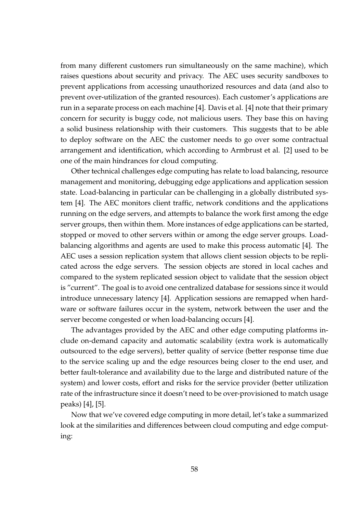from many different customers run simultaneously on the same machine), which raises questions about security and privacy. The AEC uses security sandboxes to prevent applications from accessing unauthorized resources and data (and also to prevent over-utilization of the granted resources). Each customer's applications are run in a separate process on each machine [4]. Davis et al. [4] note that their primary concern for security is buggy code, not malicious users. They base this on having a solid business relationship with their customers. This suggests that to be able to deploy software on the AEC the customer needs to go over some contractual arrangement and identification, which according to Armbrust et al. [2] used to be one of the main hindrances for cloud computing.

Other technical challenges edge computing has relate to load balancing, resource management and monitoring, debugging edge applications and application session state. Load-balancing in particular can be challenging in a globally distributed system [4]. The AEC monitors client traffic, network conditions and the applications running on the edge servers, and attempts to balance the work first among the edge server groups, then within them. More instances of edge applications can be started, stopped or moved to other servers within or among the edge server groups. Loadbalancing algorithms and agents are used to make this process automatic [4]. The AEC uses a session replication system that allows client session objects to be replicated across the edge servers. The session objects are stored in local caches and compared to the system replicated session object to validate that the session object is "current". The goal is to avoid one centralized database for sessions since it would introduce unnecessary latency [4]. Application sessions are remapped when hardware or software failures occur in the system, network between the user and the server become congested or when load-balancing occurs [4].

The advantages provided by the AEC and other edge computing platforms include on-demand capacity and automatic scalability (extra work is automatically outsourced to the edge servers), better quality of service (better response time due to the service scaling up and the edge resources being closer to the end user, and better fault-tolerance and availability due to the large and distributed nature of the system) and lower costs, effort and risks for the service provider (better utilization rate of the infrastructure since it doesn't need to be over-provisioned to match usage peaks) [4], [5].

Now that we've covered edge computing in more detail, let's take a summarized look at the similarities and differences between cloud computing and edge computing: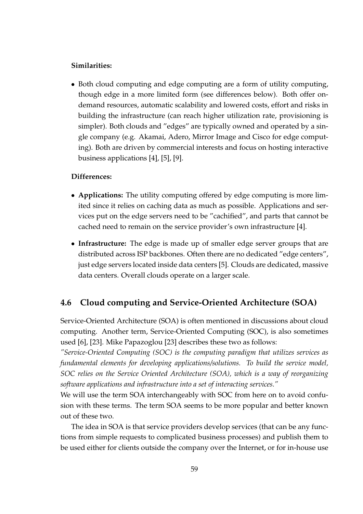#### **Similarities:**

• Both cloud computing and edge computing are a form of utility computing, though edge in a more limited form (see differences below). Both offer ondemand resources, automatic scalability and lowered costs, effort and risks in building the infrastructure (can reach higher utilization rate, provisioning is simpler). Both clouds and "edges" are typically owned and operated by a single company (e.g. Akamai, Adero, Mirror Image and Cisco for edge computing). Both are driven by commercial interests and focus on hosting interactive business applications [4], [5], [9].

#### **Differences:**

- *•* **Applications:** The utility computing offered by edge computing is more limited since it relies on caching data as much as possible. Applications and services put on the edge servers need to be "cachified", and parts that cannot be cached need to remain on the service provider's own infrastructure [4].
- *•* **Infrastructure:** The edge is made up of smaller edge server groups that are distributed across ISP backbones. Often there are no dedicated "edge centers", just edge servers located inside data centers [5]. Clouds are dedicated, massive data centers. Overall clouds operate on a larger scale.

### **4.6 Cloud computing and Service-Oriented Architecture (SOA)**

Service-Oriented Architecture (SOA) is often mentioned in discussions about cloud computing. Another term, Service-Oriented Computing (SOC), is also sometimes used [6], [23]. Mike Papazoglou [23] describes these two as follows:

*"Service-Oriented Computing (SOC) is the computing paradigm that utilizes services as fundamental elements for developing applications/solutions. To build the service model, SOC relies on the Service Oriented Architecture (SOA), which is a way of reorganizing software applications and infrastructure into a set of interacting services."*

We will use the term SOA interchangeably with SOC from here on to avoid confusion with these terms. The term SOA seems to be more popular and better known out of these two.

The idea in SOA is that service providers develop services (that can be any functions from simple requests to complicated business processes) and publish them to be used either for clients outside the company over the Internet, or for in-house use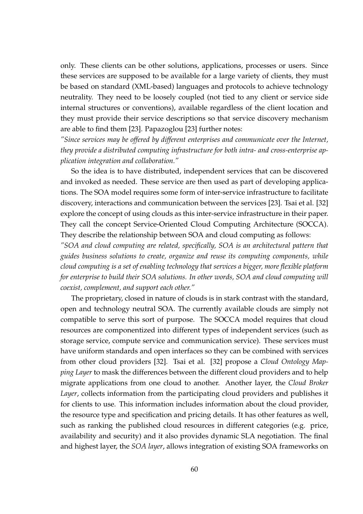only. These clients can be other solutions, applications, processes or users. Since these services are supposed to be available for a large variety of clients, they must be based on standard (XML-based) languages and protocols to achieve technology neutrality. They need to be loosely coupled (not tied to any client or service side internal structures or conventions), available regardless of the client location and they must provide their service descriptions so that service discovery mechanism are able to find them [23]. Papazoglou [23] further notes:

*"Since services may be offered by different enterprises and communicate over the Internet, they provide a distributed computing infrastructure for both intra- and cross-enterprise application integration and collaboration."*

So the idea is to have distributed, independent services that can be discovered and invoked as needed. These service are then used as part of developing applications. The SOA model requires some form of inter-service infrastructure to facilitate discovery, interactions and communication between the services [23]. Tsai et al. [32] explore the concept of using clouds as this inter-service infrastructure in their paper. They call the concept Service-Oriented Cloud Computing Architecture (SOCCA). They describe the relationship between SOA and cloud computing as follows:

*"SOA and cloud computing are related, specifically, SOA is an architectural pattern that guides business solutions to create, organize and reuse its computing components, while cloud computing is a set of enabling technology that services a bigger, more flexible platform for enterprise to build their SOA solutions. In other words, SOA and cloud computing will coexist, complement, and support each other."*

The proprietary, closed in nature of clouds is in stark contrast with the standard, open and technology neutral SOA. The currently available clouds are simply not compatible to serve this sort of purpose. The SOCCA model requires that cloud resources are componentized into different types of independent services (such as storage service, compute service and communication service). These services must have uniform standards and open interfaces so they can be combined with services from other cloud providers [32]. Tsai et al. [32] propose a *Cloud Ontology Mapping Layer* to mask the differences between the different cloud providers and to help migrate applications from one cloud to another. Another layer, the *Cloud Broker Layer*, collects information from the participating cloud providers and publishes it for clients to use. This information includes information about the cloud provider, the resource type and specification and pricing details. It has other features as well, such as ranking the published cloud resources in different categories (e.g. price, availability and security) and it also provides dynamic SLA negotiation. The final and highest layer, the *SOA layer*, allows integration of existing SOA frameworks on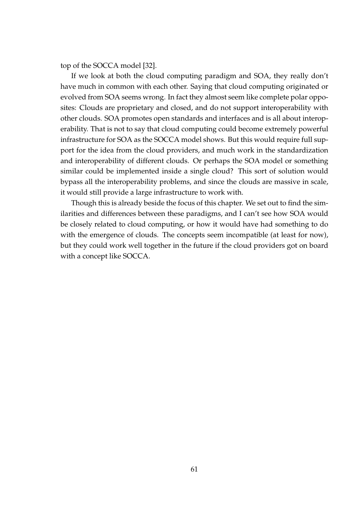top of the SOCCA model [32].

If we look at both the cloud computing paradigm and SOA, they really don't have much in common with each other. Saying that cloud computing originated or evolved from SOA seems wrong. In fact they almost seem like complete polar opposites: Clouds are proprietary and closed, and do not support interoperability with other clouds. SOA promotes open standards and interfaces and is all about interoperability. That is not to say that cloud computing could become extremely powerful infrastructure for SOA as the SOCCA model shows. But this would require full support for the idea from the cloud providers, and much work in the standardization and interoperability of different clouds. Or perhaps the SOA model or something similar could be implemented inside a single cloud? This sort of solution would bypass all the interoperability problems, and since the clouds are massive in scale, it would still provide a large infrastructure to work with.

Though this is already beside the focus of this chapter. We set out to find the similarities and differences between these paradigms, and I can't see how SOA would be closely related to cloud computing, or how it would have had something to do with the emergence of clouds. The concepts seem incompatible (at least for now), but they could work well together in the future if the cloud providers got on board with a concept like SOCCA.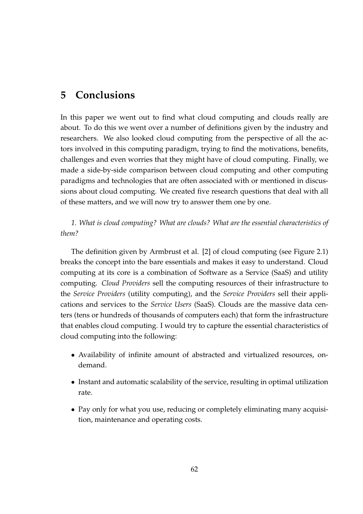## **5 Conclusions**

In this paper we went out to find what cloud computing and clouds really are about. To do this we went over a number of definitions given by the industry and researchers. We also looked cloud computing from the perspective of all the actors involved in this computing paradigm, trying to find the motivations, benefits, challenges and even worries that they might have of cloud computing. Finally, we made a side-by-side comparison between cloud computing and other computing paradigms and technologies that are often associated with or mentioned in discussions about cloud computing. We created five research questions that deal with all of these matters, and we will now try to answer them one by one.

### *1. What is cloud computing? What are clouds? What are the essential characteristics of them?*

The definition given by Armbrust et al. [2] of cloud computing (see Figure 2.1) breaks the concept into the bare essentials and makes it easy to understand. Cloud computing at its core is a combination of Software as a Service (SaaS) and utility computing. *Cloud Providers* sell the computing resources of their infrastructure to the *Service Providers* (utility computing), and the *Service Providers* sell their applications and services to the *Service Users* (SaaS). Clouds are the massive data centers (tens or hundreds of thousands of computers each) that form the infrastructure that enables cloud computing. I would try to capture the essential characteristics of cloud computing into the following:

- *•* Availability of infinite amount of abstracted and virtualized resources, ondemand.
- Instant and automatic scalability of the service, resulting in optimal utilization rate.
- *•* Pay only for what you use, reducing or completely eliminating many acquisition, maintenance and operating costs.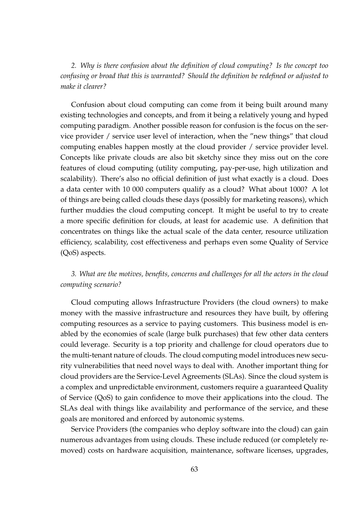*2. Why is there confusion about the definition of cloud computing? Is the concept too confusing or broad that this is warranted? Should the definition be redefined or adjusted to make it clearer?*

Confusion about cloud computing can come from it being built around many existing technologies and concepts, and from it being a relatively young and hyped computing paradigm. Another possible reason for confusion is the focus on the service provider / service user level of interaction, when the "new things" that cloud computing enables happen mostly at the cloud provider / service provider level. Concepts like private clouds are also bit sketchy since they miss out on the core features of cloud computing (utility computing, pay-per-use, high utilization and scalability). There's also no official definition of just what exactly is a cloud. Does a data center with 10 000 computers qualify as a cloud? What about 1000? A lot of things are being called clouds these days (possibly for marketing reasons), which further muddies the cloud computing concept. It might be useful to try to create a more specific definition for clouds, at least for academic use. A definition that concentrates on things like the actual scale of the data center, resource utilization efficiency, scalability, cost effectiveness and perhaps even some Quality of Service (QoS) aspects.

### *3. What are the motives, benefits, concerns and challenges for all the actors in the cloud computing scenario?*

Cloud computing allows Infrastructure Providers (the cloud owners) to make money with the massive infrastructure and resources they have built, by offering computing resources as a service to paying customers. This business model is enabled by the economies of scale (large bulk purchases) that few other data centers could leverage. Security is a top priority and challenge for cloud operators due to the multi-tenant nature of clouds. The cloud computing model introduces new security vulnerabilities that need novel ways to deal with. Another important thing for cloud providers are the Service-Level Agreements (SLAs). Since the cloud system is a complex and unpredictable environment, customers require a guaranteed Quality of Service (QoS) to gain confidence to move their applications into the cloud. The SLAs deal with things like availability and performance of the service, and these goals are monitored and enforced by autonomic systems.

Service Providers (the companies who deploy software into the cloud) can gain numerous advantages from using clouds. These include reduced (or completely removed) costs on hardware acquisition, maintenance, software licenses, upgrades,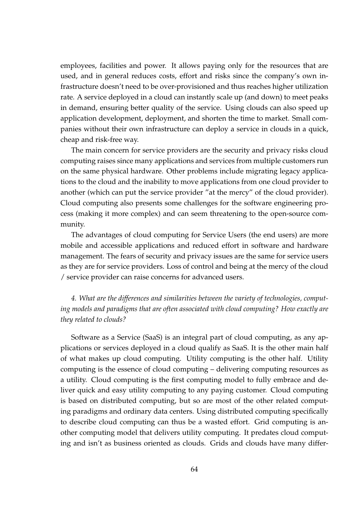employees, facilities and power. It allows paying only for the resources that are used, and in general reduces costs, effort and risks since the company's own infrastructure doesn't need to be over-provisioned and thus reaches higher utilization rate. A service deployed in a cloud can instantly scale up (and down) to meet peaks in demand, ensuring better quality of the service. Using clouds can also speed up application development, deployment, and shorten the time to market. Small companies without their own infrastructure can deploy a service in clouds in a quick, cheap and risk-free way.

The main concern for service providers are the security and privacy risks cloud computing raises since many applications and services from multiple customers run on the same physical hardware. Other problems include migrating legacy applications to the cloud and the inability to move applications from one cloud provider to another (which can put the service provider "at the mercy" of the cloud provider). Cloud computing also presents some challenges for the software engineering process (making it more complex) and can seem threatening to the open-source community.

The advantages of cloud computing for Service Users (the end users) are more mobile and accessible applications and reduced effort in software and hardware management. The fears of security and privacy issues are the same for service users as they are for service providers. Loss of control and being at the mercy of the cloud / service provider can raise concerns for advanced users.

*4. What are the differences and similarities between the variety of technologies, computing models and paradigms that are often associated with cloud computing? How exactly are they related to clouds?*

Software as a Service (SaaS) is an integral part of cloud computing, as any applications or services deployed in a cloud qualify as SaaS. It is the other main half of what makes up cloud computing. Utility computing is the other half. Utility computing is the essence of cloud computing – delivering computing resources as a utility. Cloud computing is the first computing model to fully embrace and deliver quick and easy utility computing to any paying customer. Cloud computing is based on distributed computing, but so are most of the other related computing paradigms and ordinary data centers. Using distributed computing specifically to describe cloud computing can thus be a wasted effort. Grid computing is another computing model that delivers utility computing. It predates cloud computing and isn't as business oriented as clouds. Grids and clouds have many differ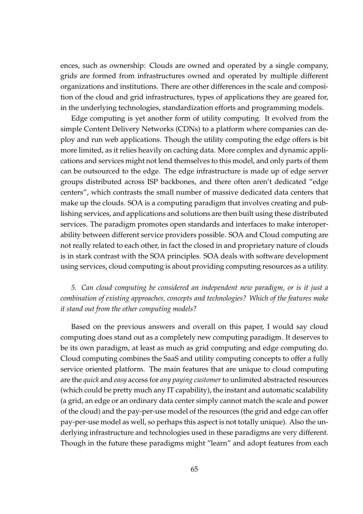ences, such as ownership: Clouds are owned and operated by a single company, grids are formed from infrastructures owned and operated by multiple different organizations and institutions. There are other differences in the scale and composition of the cloud and grid infrastructures, types of applications they are geared for, in the underlying technologies, standardization efforts and programming models.

Edge computing is yet another form of utility computing. It evolved from the simple Content Delivery Networks (CDNs) to a platform where companies can deploy and run web applications. Though the utility computing the edge offers is bit more limited, as it relies heavily on caching data. More complex and dynamic applications and services might not lend themselves to this model, and only parts of them can be outsourced to the edge. The edge infrastructure is made up of edge server groups distributed across ISP backbones, and there often aren't dedicated "edge centers", which contrasts the small number of massive dedicated data centers that make up the clouds. SOA is a computing paradigm that involves creating and publishing services, and applications and solutions are then built using these distributed services. The paradigm promotes open standards and interfaces to make interoperability between different service providers possible. SOA and Cloud computing are not really related to each other, in fact the closed in and proprietary nature of clouds is in stark contrast with the SOA principles. SOA deals with software development using services, cloud computing is about providing computing resources as a utility.

### *5. Can cloud computing be considered an independent new paradigm, or is it just a combination of existing approaches, concepts and technologies? Which of the features make it stand out from the other computing models?*

Based on the previous answers and overall on this paper, I would say cloud computing does stand out as a completely new computing paradigm. It deserves to be its own paradigm, at least as much as grid computing and edge computing do. Cloud computing combines the SaaS and utility computing concepts to offer a fully service oriented platform. The main features that are unique to cloud computing are the *quick* and *easy* access for *any paying customer* to unlimited abstracted resources (which could be pretty much any IT capability), the instant and automatic scalability (a grid, an edge or an ordinary data center simply cannot match the scale and power of the cloud) and the pay-per-use model of the resources (the grid and edge can offer pay-per-use model as well, so perhaps this aspect is not totally unique). Also the underlying infrastructure and technologies used in these paradigms are very different. Though in the future these paradigms might "learn" and adopt features from each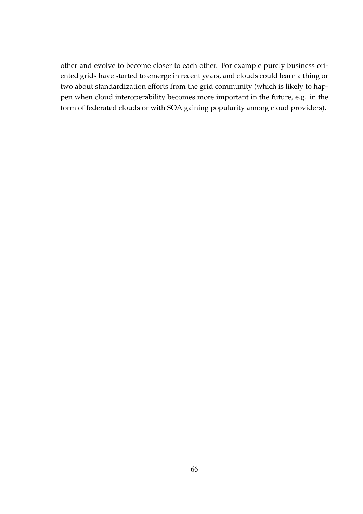other and evolve to become closer to each other. For example purely business oriented grids have started to emerge in recent years, and clouds could learn a thing or two about standardization efforts from the grid community (which is likely to happen when cloud interoperability becomes more important in the future, e.g. in the form of federated clouds or with SOA gaining popularity among cloud providers).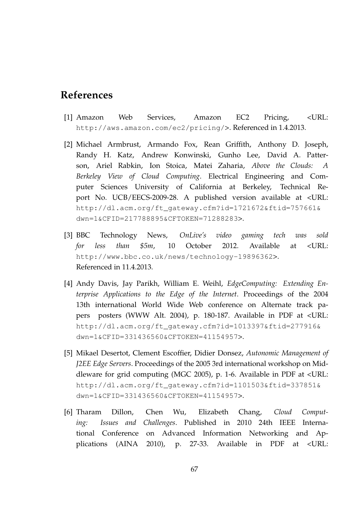# **References**

- [1] Amazon Web Services, Amazon EC2 Pricing, <URL: http://aws.amazon.com/ec2/pricing/>. Referenced in 1.4.2013.
- [2] Michael Armbrust, Armando Fox, Rean Griffith, Anthony D. Joseph, Randy H. Katz, Andrew Konwinski, Gunho Lee, David A. Patterson, Ariel Rabkin, Ion Stoica, Matei Zaharia, *Above the Clouds: A Berkeley View of Cloud Computing*. Electrical Engineering and Computer Sciences University of California at Berkeley, Technical Report No. UCB/EECS-2009-28. A published version available at <URL: http://dl.acm.org/ft\_gateway.cfm?id=1721672&ftid=757661& dwn=1&CFID=217788895&CFTOKEN=71288283>.
- [3] BBC Technology News, *OnLive's video gaming tech was sold for less than \$5m*, 10 October 2012. Available at <URL: http://www.bbc.co.uk/news/technology-19896362>. Referenced in 11.4.2013.
- [4] Andy Davis, Jay Parikh, William E. Weihl, *EdgeComputing: Extending Enterprise Applications to the Edge of the Internet*. Proceedings of the 2004 13th international World Wide Web conference on Alternate track papers posters (WWW Alt. 2004), p. 180-187. Available in PDF at <URL: http://dl.acm.org/ft\_gateway.cfm?id=1013397&ftid=277916& dwn=1&CFID=331436560&CFTOKEN=41154957>.
- [5] Mikael Desertot, Clement Escoffier, Didier Donsez, *Autonomic Management of J2EE Edge Servers*. Proceedings of the 2005 3rd international workshop on Middleware for grid computing (MGC 2005), p. 1-6. Available in PDF at <URL: http://dl.acm.org/ft\_gateway.cfm?id=1101503&ftid=337851& dwn=1&CFID=331436560&CFTOKEN=41154957>.
- [6] Tharam Dillon, Chen Wu, Elizabeth Chang, *Cloud Computing: Issues and Challenges*. Published in 2010 24th IEEE International Conference on Advanced Information Networking and Applications (AINA 2010), p. 27-33. Available in PDF at <URL: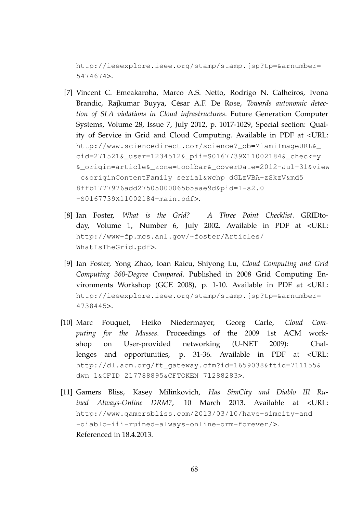http://ieeexplore.ieee.org/stamp/stamp.jsp?tp=&arnumber= 5474674>.

- [7] Vincent C. Emeakaroha, Marco A.S. Netto, Rodrigo N. Calheiros, Ivona Brandic, Rajkumar Buyya, César A.F. De Rose, *Towards autonomic detection of SLA violations in Cloud infrastructures*. Future Generation Computer Systems, Volume 28, Issue 7, July 2012, p. 1017-1029, Special section: Quality of Service in Grid and Cloud Computing. Available in PDF at <URL: http://www.sciencedirect.com/science?\_ob=MiamiImageURL&\_ cid=271521&\_user=1234512&\_pii=S0167739X11002184&\_check=y &\_origin=article&\_zone=toolbar&\_coverDate=2012-Jul-31&view =c&originContentFamily=serial&wchp=dGLzVBA-zSkzV&md5= 8ffb1777976add27505000065b5aae9d&pid=1-s2.0 -S0167739X11002184-main.pdf>.
- [8] Ian Foster, *What is the Grid? A Three Point Checklist*. GRIDtoday, Volume 1, Number 6, July 2002. Available in PDF at <URL: http://www-fp.mcs.anl.gov/~foster/Articles/ WhatIsTheGrid.pdf>.
- [9] Ian Foster, Yong Zhao, Ioan Raicu, Shiyong Lu, *Cloud Computing and Grid Computing 360-Degree Compared*. Published in 2008 Grid Computing Environments Workshop (GCE 2008), p. 1-10. Available in PDF at <URL: http://ieeexplore.ieee.org/stamp/stamp.jsp?tp=&arnumber= 4738445>.
- [10] Marc Fouquet, Heiko Niedermayer, Georg Carle, *Cloud Computing for the Masses*. Proceedings of the 2009 1st ACM workshop on User-provided networking (U-NET 2009): Challenges and opportunities, p. 31-36. Available in PDF at <URL: http://dl.acm.org/ft\_gateway.cfm?id=1659038&ftid=711155& dwn=1&CFID=217788895&CFTOKEN=71288283>.
- [11] Gamers Bliss, Kasey Milinkovich, *Has SimCity and Diablo III Ruined Always-Online DRM?*, 10 March 2013. Available at <URL: http://www.gamersbliss.com/2013/03/10/have-simcity-and -diablo-iii-ruined-always-online-drm-forever/>. Referenced in 18.4.2013.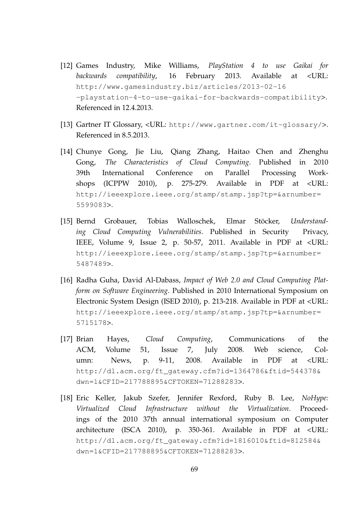- [12] Games Industry, Mike Williams, *PlayStation 4 to use Gaikai for backwards compatibility*, 16 February 2013. Available at <URL: http://www.gamesindustry.biz/articles/2013-02-16 -playstation-4-to-use-gaikai-for-backwards-compatibility>. Referenced in 12.4.2013.
- [13] Gartner IT Glossary, <URL: http://www.gartner.com/it-glossary/>. Referenced in 8.5.2013.
- [14] Chunye Gong, Jie Liu, Qiang Zhang, Haitao Chen and Zhenghu Gong, *The Characteristics of Cloud Computing*. Published in 2010 39th International Conference on Parallel Processing Workshops (ICPPW 2010), p. 275-279. Available in PDF at <URL: http://ieeexplore.ieee.org/stamp/stamp.jsp?tp=&arnumber= 5599083>.
- [15] Bernd Grobauer, Tobias Walloschek, Elmar Stöcker, *Understanding Cloud Computing Vulnerabilities*. Published in Security Privacy, IEEE, Volume 9, Issue 2, p. 50-57, 2011. Available in PDF at <URL: http://ieeexplore.ieee.org/stamp/stamp.jsp?tp=&arnumber= 5487489>.
- [16] Radha Guha, David Al-Dabass, *Impact of Web 2.0 and Cloud Computing Platform on Software Engineering*. Published in 2010 International Symposium on Electronic System Design (ISED 2010), p. 213-218. Available in PDF at <URL: http://ieeexplore.ieee.org/stamp/stamp.jsp?tp=&arnumber= 5715178>.
- [17] Brian Hayes, *Cloud Computing*, Communications of the ACM, Volume 51, Issue 7, July 2008. Web science, Column: News, p. 9-11, 2008. Available in PDF at <URL: http://dl.acm.org/ft\_gateway.cfm?id=1364786&ftid=544378& dwn=1&CFID=217788895&CFTOKEN=71288283>.
- [18] Eric Keller, Jakub Szefer, Jennifer Rexford, Ruby B. Lee, *NoHype: Virtualized Cloud Infrastructure without the Virtualization*. Proceedings of the 2010 37th annual international symposium on Computer architecture (ISCA 2010), p. 350-361. Available in PDF at <URL: http://dl.acm.org/ft\_gateway.cfm?id=1816010&ftid=812584& dwn=1&CFID=217788895&CFTOKEN=71288283>.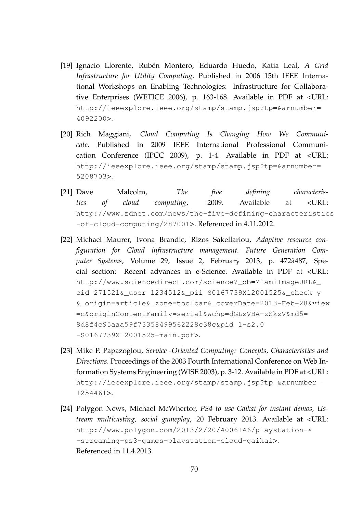- [19] Ignacio Llorente, Rubén Montero, Eduardo Huedo, Katia Leal, *A Grid Infrastructure for Utility Computing*. Published in 2006 15th IEEE International Workshops on Enabling Technologies: Infrastructure for Collaborative Enterprises (WETICE 2006), p. 163-168. Available in PDF at <URL: http://ieeexplore.ieee.org/stamp/stamp.jsp?tp=&arnumber= 4092200>.
- [20] Rich Maggiani, *Cloud Computing Is Changing How We Communicate*. Published in 2009 IEEE International Professional Communication Conference (IPCC 2009), p. 1-4. Available in PDF at <URL: http://ieeexplore.ieee.org/stamp/stamp.jsp?tp=&arnumber= 5208703>.
- [21] Dave Malcolm, *The five defining characteristics of cloud computing*, 2009. Available at <URL: http://www.zdnet.com/news/the-five-defining-characteristics -of-cloud-computing/287001>. Referenced in 4.11.2012.
- [22] Michael Maurer, Ivona Brandic, Rizos Sakellariou, *Adaptive resource configuration for Cloud infrastructure management. Future Generation Computer Systems*, Volume 29, Issue 2, February 2013, p. 472â487, Special section: Recent advances in e-Science. Available in PDF at <URL: http://www.sciencedirect.com/science? ob=MiamiImageURL& cid=271521&\_user=1234512&\_pii=S0167739X12001525&\_check=y &\_origin=article&\_zone=toolbar&\_coverDate=2013-Feb-28&view =c&originContentFamily=serial&wchp=dGLzVBA-zSkzV&md5= 8d8f4c95aaa59f73358499562228c38c&pid=1-s2.0 -S0167739X12001525-main.pdf>.
- [23] Mike P. Papazoglou, *Service -Oriented Computing: Concepts, Characteristics and Directions*. Proceedings of the 2003 Fourth International Conference on Web Information Systems Engineering (WISE 2003), p. 3-12. Available in PDF at <URL: http://ieeexplore.ieee.org/stamp/stamp.jsp?tp=&arnumber= 1254461>.
- [24] Polygon News, Michael McWhertor, *PS4 to use Gaikai for instant demos, Ustream multicasting, social gameplay*, 20 February 2013. Available at <URL: http://www.polygon.com/2013/2/20/4006146/playstation-4 -streaming-ps3-games-playstation-cloud-gaikai>. Referenced in 11.4.2013.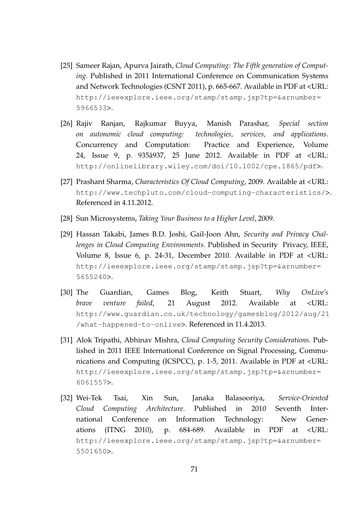- [25] Sameer Rajan, Apurva Jairath, *Cloud Computing: The Fifth generation of Computing*. Published in 2011 International Conference on Communication Systems and Network Technologies (CSNT 2011), p. 665-667. Available in PDF at <URL: http://ieeexplore.ieee.org/stamp/stamp.jsp?tp=&arnumber= 5966533>.
- [26] Rajiv Ranjan, Rajkumar Buyya, Manish Parashar, *Special section on autonomic cloud computing: technologies, services, and applications*. Concurrency and Computation: Practice and Experience, Volume 24, Issue 9, p. 935â937, 25 June 2012. Available in PDF at <URL: http://onlinelibrary.wiley.com/doi/10.1002/cpe.1865/pdf>.
- [27] Prashant Sharma, *Characteristics Of Cloud Computing*, 2009. Available at <URL: http://www.techpluto.com/cloud-computing-characteristics/>. Referenced in 4.11.2012.
- [28] Sun Microsystems, *Taking Your Business to a Higher Level*, 2009.
- [29] Hassan Takabi, James B.D. Joshi, Gail-Joon Ahn, *Security and Privacy Challenges in Cloud Computing Environments*. Published in Security Privacy, IEEE, Volume 8, Issue 6, p. 24-31, December 2010. Available in PDF at <URL: http://ieeexplore.ieee.org/stamp/stamp.jsp?tp=&arnumber= 5655240>.
- [30] The Guardian, Games Blog, Keith Stuart, *Why OnLive's brave venture failed*, 21 August 2012. Available at <URL: http://www.guardian.co.uk/technology/gamesblog/2012/aug/21 /what-happened-to-onlive>. Referenced in 11.4.2013.
- [31] Alok Tripathi, Abhinav Mishra, *Cloud Computing Security Considerations*. Published in 2011 IEEE International Conference on Signal Processing, Communications and Computing (ICSPCC), p. 1-5, 2011. Available in PDF at <URL: http://ieeexplore.ieee.org/stamp/stamp.jsp?tp=&arnumber= 6061557>.
- [32] Wei-Tek Tsai, Xin Sun, Janaka Balasooriya, *Service-Oriented Cloud Computing Architecture*. Published in 2010 Seventh International Conference on Information Technology: New Generations (ITNG 2010), p. 684-689. Available in PDF at <URL: http://ieeexplore.ieee.org/stamp/stamp.jsp?tp=&arnumber= 5501650>.